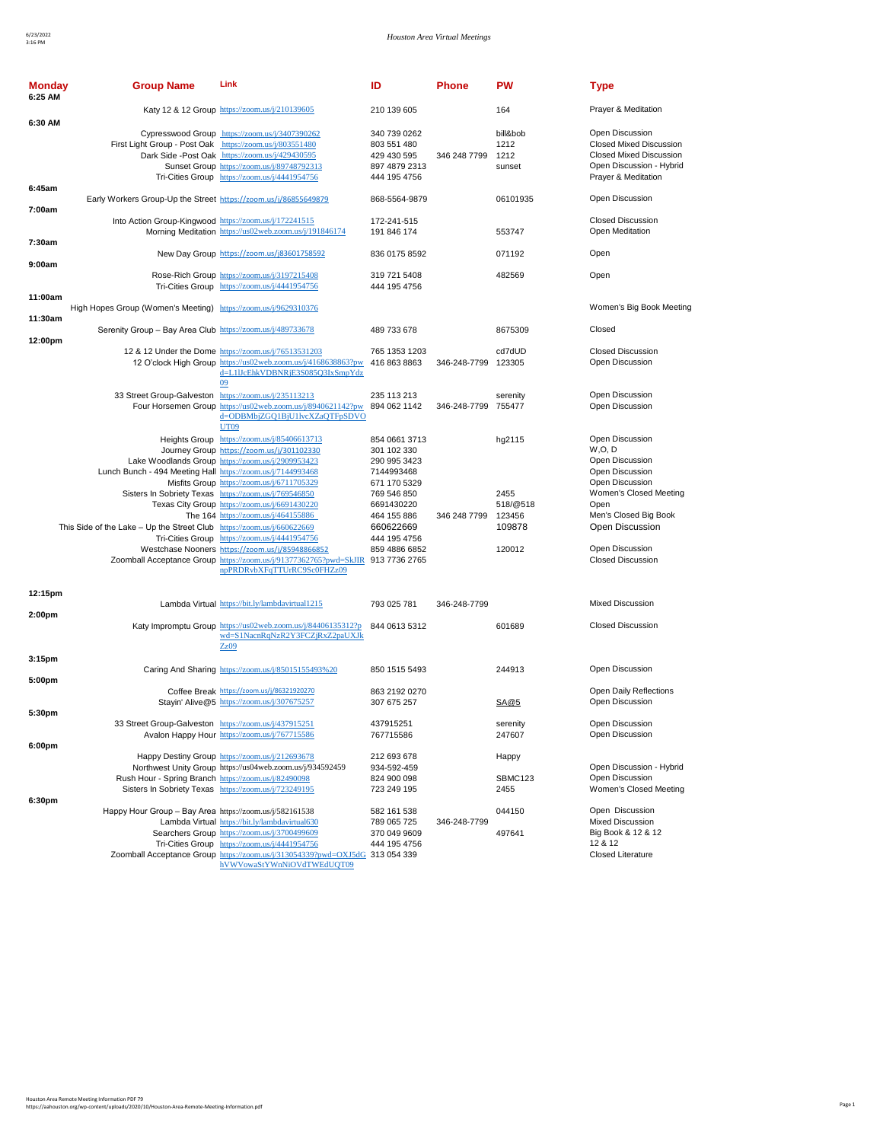| <b>Monday</b><br>6:25 AM | <b>Group Name</b>                                                      | Link                                                                                                                                                                                                                                                          | ID                                                                                        | <b>Phone</b>        | <b>PW</b>                          | <b>Type</b>                                                                                                                     |
|--------------------------|------------------------------------------------------------------------|---------------------------------------------------------------------------------------------------------------------------------------------------------------------------------------------------------------------------------------------------------------|-------------------------------------------------------------------------------------------|---------------------|------------------------------------|---------------------------------------------------------------------------------------------------------------------------------|
| 6:30 AM                  |                                                                        | Katy 12 & 12 Group https://zoom.us/j/210139605                                                                                                                                                                                                                | 210 139 605                                                                               |                     | 164                                | Prayer & Meditation                                                                                                             |
|                          | First Light Group - Post Oak https://zoom.us/j/803551480               | Cypresswood Group https://zoom.us/j/3407390262<br>Dark Side -Post Oak https://zoom.us/j/429430595<br>Sunset Group https://zoom.us/j/89748792313<br>Tri-Cities Group https://zoom.us/j/4441954756                                                              | 340 739 0262<br>803 551 480<br>429 430 595<br>897 4879 2313<br>444 195 4756               | 346 248 7799        | bill&bob<br>1212<br>1212<br>sunset | Open Discussion<br><b>Closed Mixed Discussion</b><br>Closed Mixed Discussion<br>Open Discussion - Hybrid<br>Prayer & Meditation |
| 6:45am                   | Early Workers Group-Up the Street https://zoom.us/j/86855649879        |                                                                                                                                                                                                                                                               | 868-5564-9879                                                                             |                     | 06101935                           | Open Discussion                                                                                                                 |
| 7:00am                   | Into Action Group-Kingwood https://zoom.us/j/172241515                 | Morning Meditation https://us02web.zoom.us/j/191846174                                                                                                                                                                                                        | 172-241-515<br>191 846 174                                                                |                     | 553747                             | <b>Closed Discussion</b><br>Open Meditation                                                                                     |
| 7:30am                   |                                                                        | New Day Group https://zoom.us/j83601758592                                                                                                                                                                                                                    | 836 0175 8592                                                                             |                     | 071192                             | Open                                                                                                                            |
| 9:00am                   |                                                                        | Rose-Rich Group https://zoom.us/j/3197215408<br>Tri-Cities Group https://zoom.us/j/4441954756                                                                                                                                                                 | 319 721 5408<br>444 195 4756                                                              |                     | 482569                             | Open                                                                                                                            |
| 11:00am                  | High Hopes Group (Women's Meeting) https://zoom.us/j/9629310376        |                                                                                                                                                                                                                                                               |                                                                                           |                     |                                    | Women's Big Book Meeting                                                                                                        |
| 11:30am                  | Serenity Group - Bay Area Club https://zoom.us/j/489733678             |                                                                                                                                                                                                                                                               | 489 733 678                                                                               |                     | 8675309                            | Closed                                                                                                                          |
| 12:00pm                  |                                                                        |                                                                                                                                                                                                                                                               |                                                                                           |                     |                                    |                                                                                                                                 |
|                          |                                                                        | 12 & 12 Under the Dome https://zoom.us/j/76513531203<br>12 O'clock High Group https://us02web.zoom.us/j/4168638863?pw<br>d=L1IJcEhkVDBNRjE3S085Q3IxSmpYdz<br>09                                                                                               | 765 1353 1203<br>416 863 8863                                                             | 346-248-7799 123305 | cd7dUD                             | <b>Closed Discussion</b><br>Open Discussion                                                                                     |
|                          | 33 Street Group-Galveston https://zoom.us/j/235113213                  | Four Horsemen Group https://us02web.zoom.us/j/8940621142?pw 894 062 1142<br>d=ODBMbjZGQ1BjU1lvcXZaQTFpSDVO<br>UT09                                                                                                                                            | 235 113 213                                                                               | 346-248-7799 755477 | serenity                           | Open Discussion<br>Open Discussion                                                                                              |
|                          | Lunch Bunch - 494 Meeting Hall https://zoom.us/j/7144993468            | Heights Group https://zoom.us/j/85406613713<br>Journey Group https://zoom.us/j/301102330<br>Lake Woodlands Group https://zoom.us/j/2909953423<br>Misfits Group https://zoom.us/j/6711705329<br>Sisters In Sobriety Texas https://zoom.us/j/769546850          | 854 0661 3713<br>301 102 330<br>290 995 3423<br>7144993468<br>671 170 5329<br>769 546 850 |                     | hg2115<br>2455                     | Open Discussion<br>W, O, D<br>Open Discussion<br>Open Discussion<br>Open Discussion<br>Women's Closed Meeting                   |
|                          | This Side of the Lake - Up the Street Club https://zoom.us/j/660622669 | Texas City Group https://zoom.us/j/6691430220<br>The 164 https://zoom.us/j/464155886                                                                                                                                                                          | 6691430220<br>464 155 886<br>660622669                                                    | 346 248 7799        | 518/@518<br>123456<br>109878       | Open<br>Men's Closed Big Book<br>Open Discussion                                                                                |
|                          |                                                                        | Tri-Cities Group https://zoom.us/j/4441954756<br>Westchase Nooners https://zoom.us/j/85948866852<br>Zoomball Acceptance Group https://zoom.us/j/91377362765?pwd=SkJIR<br>npPRDRvbXFqTTUrRC9Sc0FHZz09                                                          | 444 195 4756<br>859 4886 6852<br>913 7736 2765                                            |                     | 120012                             | Open Discussion<br><b>Closed Discussion</b>                                                                                     |
| 12:15pm                  |                                                                        |                                                                                                                                                                                                                                                               |                                                                                           |                     |                                    |                                                                                                                                 |
| 2:00 <sub>pm</sub>       |                                                                        | Lambda Virtual https://bit.ly/lambdavirtual1215                                                                                                                                                                                                               | 793 025 781                                                                               | 346-248-7799        |                                    | <b>Mixed Discussion</b>                                                                                                         |
|                          |                                                                        | Katy Impromptu Group https://us02web.zoom.us/j/84406135312?p<br>wd=S1NacnRqNzR2Y3FCZjRxZ2paUXJk<br>Zz09                                                                                                                                                       | 844 0613 5312                                                                             |                     | 601689                             | <b>Closed Discussion</b>                                                                                                        |
| 3:15 <sub>pm</sub>       |                                                                        |                                                                                                                                                                                                                                                               |                                                                                           |                     |                                    |                                                                                                                                 |
| 5:00pm                   |                                                                        | Caring And Sharing https://zoom.us/j/85015155493%20<br>Coffee Break https://zoom.us/j/86321920270                                                                                                                                                             | 850 1515 5493<br>863 2192 0270                                                            |                     | 244913                             | Open Discussion<br>Open Daily Reflections                                                                                       |
| 5:30pm                   |                                                                        | Stayin' Alive@5 https://zoom.us/j/307675257                                                                                                                                                                                                                   | 307 675 257                                                                               |                     | SA@5                               | Open Discussion                                                                                                                 |
|                          | 33 Street Group-Galveston https://zoom.us/j/437915251                  | Avalon Happy Hour https://zoom.us/j/767715586                                                                                                                                                                                                                 | 437915251<br>767715586                                                                    |                     | serenity<br>247607                 | Open Discussion<br>Open Discussion                                                                                              |
| 6:00pm                   | Rush Hour - Spring Branch https://zoom.us/j/82490098                   | Happy Destiny Group https://zoom.us/j/212693678<br>Northwest Unity Group https://us04web.zoom.us/j/934592459<br>Sisters In Sobriety Texas https://zoom.us/j/723249195                                                                                         | 212 693 678<br>934-592-459<br>824 900 098<br>723 249 195                                  |                     | Happy<br>SBMC123<br>2455           | Open Discussion - Hybrid<br>Open Discussion<br>Women's Closed Meeting                                                           |
| 6:30pm                   | Happy Hour Group - Bay Area https://zoom.us/j/582161538                | Lambda Virtual https://bit.ly/lambdavirtual630<br>Searchers Group https://zoom.us/j/3700499609<br>Tri-Cities Group https://zoom.us/j/4441954756<br>Zoomball Acceptance Group https://zoom.us/j/313054339?pwd=OXJ5dG 313 054 339<br>hVWVowaStYWnNiOVdTWEdUQT09 | 582 161 538<br>789 065 725<br>370 049 9609<br>444 195 4756                                | 346-248-7799        | 044150<br>497641                   | Open Discussion<br><b>Mixed Discussion</b><br>Big Book & 12 & 12<br>12 & 12<br><b>Closed Literature</b>                         |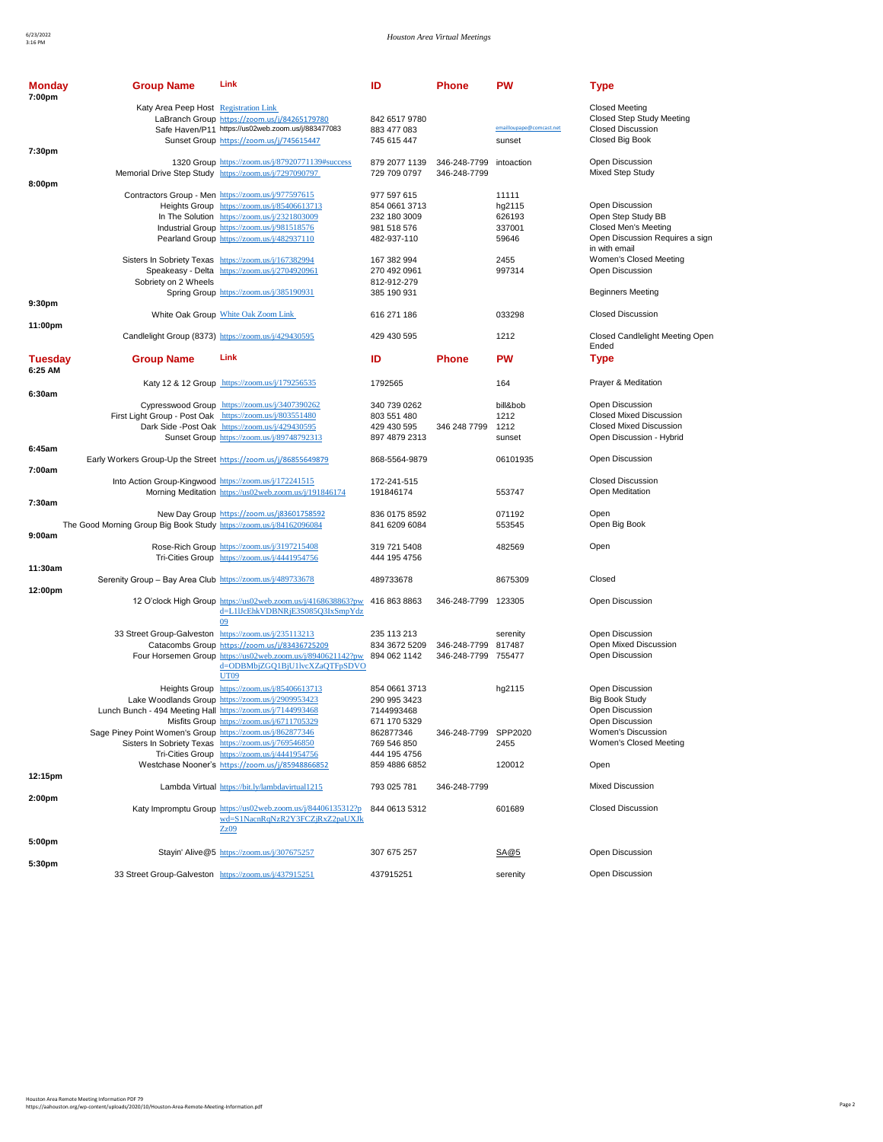| Monday<br>7:00pm   | <b>Group Name</b>                                                   | Link                                                                                                                                                                                                                                             | ID                                                                         | Phone                                      | <b>PW</b>                                    | Type                                                                                                              |
|--------------------|---------------------------------------------------------------------|--------------------------------------------------------------------------------------------------------------------------------------------------------------------------------------------------------------------------------------------------|----------------------------------------------------------------------------|--------------------------------------------|----------------------------------------------|-------------------------------------------------------------------------------------------------------------------|
|                    | Katy Area Peep Host Registration Link                               | LaBranch Group https://zoom.us/j/84265179780<br>Safe Haven/P11 https://us02web.zoom.us/j/883477083<br>Sunset Group https://zoom.us/j/745615447                                                                                                   | 842 6517 9780<br>883 477 083<br>745 615 447                                |                                            | emailloupape@comcast.net<br>sunset           | <b>Closed Meeting</b><br><b>Closed Step Study Meeting</b><br><b>Closed Discussion</b><br>Closed Big Book          |
| 7:30pm             |                                                                     | 1320 Group https://zoom.us/j/87920771139#success<br>Memorial Drive Step Study https://zoom.us/j/7297090797                                                                                                                                       | 879 2077 1139<br>729 709 0797                                              | 346-248-7799 intoaction<br>346-248-7799    |                                              | Open Discussion<br>Mixed Step Study                                                                               |
| 8:00pm             |                                                                     | Contractors Group - Men https://zoom.us/j/977597615<br>Heights Group https://zoom.us/j/85406613713<br>In The Solution https://zoom.us/j/2321803009<br>Industrial Group https://zoom.us/j/981518576<br>Pearland Group https://zoom.us/j/482937110 | 977 597 615<br>854 0661 3713<br>232 180 3009<br>981 518 576<br>482-937-110 |                                            | 11111<br>hg2115<br>626193<br>337001<br>59646 | Open Discussion<br>Open Step Study BB<br>Closed Men's Meeting<br>Open Discussion Requires a sign<br>in with email |
|                    | Sobriety on 2 Wheels                                                | Sisters In Sobriety Texas https://zoom.us/j/167382994<br>Speakeasy - Delta https://zoom.us/j/2704920961<br>Spring Group https://zoom.us/j/385190931                                                                                              | 167 382 994<br>270 492 0961<br>812-912-279<br>385 190 931                  |                                            | 2455<br>997314                               | Women's Closed Meeting<br>Open Discussion<br><b>Beginners Meeting</b>                                             |
| 9:30 <sub>pm</sub> |                                                                     | White Oak Group White Oak Zoom Link                                                                                                                                                                                                              | 616 271 186                                                                |                                            | 033298                                       | <b>Closed Discussion</b>                                                                                          |
| 11:00pm            |                                                                     | Candlelight Group (8373) https://zoom.us/j/429430595                                                                                                                                                                                             | 429 430 595                                                                |                                            | 1212                                         | Closed Candlelight Meeting Open                                                                                   |
| Tuesday            | <b>Group Name</b>                                                   | Link                                                                                                                                                                                                                                             | ID                                                                         | <b>Phone</b>                               | <b>PW</b>                                    | Ended<br>Type                                                                                                     |
| 6:25 AM            |                                                                     | Katy 12 & 12 Group https://zoom.us/j/179256535                                                                                                                                                                                                   | 1792565                                                                    |                                            | 164                                          | Prayer & Meditation                                                                                               |
| 6:30am             | First Light Group - Post Oak https://zoom.us/j/803551480            | Cypresswood Group https://zoom.us/j/3407390262<br>Dark Side -Post Oak https://zoom.us/j/429430595<br>Sunset Group https://zoom.us/j/89748792313                                                                                                  | 340 739 0262<br>803 551 480<br>429 430 595<br>897 4879 2313                | 346 248 7799                               | bill&bob<br>1212<br>1212<br>sunset           | Open Discussion<br><b>Closed Mixed Discussion</b><br><b>Closed Mixed Discussion</b><br>Open Discussion - Hybrid   |
| 6:45am             | Early Workers Group-Up the Street https://zoom.us/j/86855649879     |                                                                                                                                                                                                                                                  | 868-5564-9879                                                              |                                            | 06101935                                     | Open Discussion                                                                                                   |
| 7:00am             | Into Action Group-Kingwood https://zoom.us/j/172241515              | Morning Meditation https://us02web.zoom.us/j/191846174                                                                                                                                                                                           | 172-241-515<br>191846174                                                   |                                            | 553747                                       | <b>Closed Discussion</b><br>Open Meditation                                                                       |
| 7:30am             | The Good Morning Group Big Book Study https://zoom.us/j/84162096084 | New Day Group https://zoom.us/j83601758592                                                                                                                                                                                                       | 836 0175 8592<br>841 6209 6084                                             |                                            | 071192<br>553545                             | Open<br>Open Big Book                                                                                             |
| 9:00am             |                                                                     | Rose-Rich Group https://zoom.us/j/3197215408<br>Tri-Cities Group https://zoom.us/j/4441954756                                                                                                                                                    | 319 721 5408<br>444 195 4756                                               |                                            | 482569                                       | Open                                                                                                              |
| 11:30am<br>12:00pm | Serenity Group - Bay Area Club https://zoom.us/j/489733678          |                                                                                                                                                                                                                                                  | 489733678                                                                  |                                            | 8675309                                      | Closed                                                                                                            |
|                    |                                                                     | 12 O'clock High Group https://us02web.zoom.us/j/4168638863?pw 416 863 8863<br>d=L1IJcEhkVDBNRjE3S085Q3IxSmpYdz<br>09                                                                                                                             |                                                                            | 346-248-7799 123305                        |                                              | Open Discussion                                                                                                   |
|                    | 33 Street Group-Galveston https://zoom.us/j/235113213               | Catacombs Group https://zoom.us/j/83436725209<br>Four Horsemen Group https://us02web.zoom.us/j/8940621142?pw<br>d=ODBMbjZGQ1BjU1lvcXZaQTFpSDVO<br><b>UT09</b>                                                                                    | 235 113 213<br>834 3672 5209<br>894 062 1142                               | 346-248-7799 817487<br>346-248-7799 755477 | serenity                                     | Open Discussion<br>Open Mixed Discussion<br>Open Discussion                                                       |
|                    | Lunch Bunch - 494 Meeting Hall https://zoom.us/j/7144993468         | Heights Group https://zoom.us/j/85406613713<br>Lake Woodlands Group https://zoom.us/j/2909953423<br>Misfits Group https://zoom.us/j/6711705329                                                                                                   | 854 0661 3713<br>290 995 3423<br>7144993468<br>671 170 5329                |                                            | hg2115                                       | Open Discussion<br><b>Big Book Study</b><br>Open Discussion<br>Open Discussion                                    |
|                    | Sage Piney Point Women's Group https://zoom.us/j/862877346          | Sisters In Sobriety Texas https://zoom.us/j/769546850<br>Tri-Cities Group https://zoom.us/j/4441954756                                                                                                                                           | 862877346<br>769 546 850<br>444 195 4756                                   | 346-248-7799 SPP2020                       | 2455                                         | Women's Discussion<br>Women's Closed Meeting                                                                      |
| 12:15pm            |                                                                     | Westchase Nooner's https://zoom.us/j/85948866852                                                                                                                                                                                                 | 859 4886 6852                                                              |                                            | 120012                                       | Open                                                                                                              |
| 2:00pm             |                                                                     | Lambda Virtual https://bit.ly/lambdavirtual1215                                                                                                                                                                                                  | 793 025 781                                                                | 346-248-7799                               |                                              | <b>Mixed Discussion</b>                                                                                           |
|                    |                                                                     | Katy Impromptu Group https://us02web.zoom.us/j/84406135312?p<br>wd=S1NacnRqNzR2Y3FCZiRxZ2paUXJk<br>Zz09                                                                                                                                          | 844 0613 5312                                                              |                                            | 601689                                       | <b>Closed Discussion</b>                                                                                          |
| 5:00pm             |                                                                     | Stayin' Alive@5 https://zoom.us/j/307675257                                                                                                                                                                                                      | 307 675 257                                                                |                                            | SA@5                                         | Open Discussion                                                                                                   |
| 5:30pm             | 33 Street Group-Galveston https://zoom.us/j/437915251               |                                                                                                                                                                                                                                                  | 437915251                                                                  |                                            | serenity                                     | Open Discussion                                                                                                   |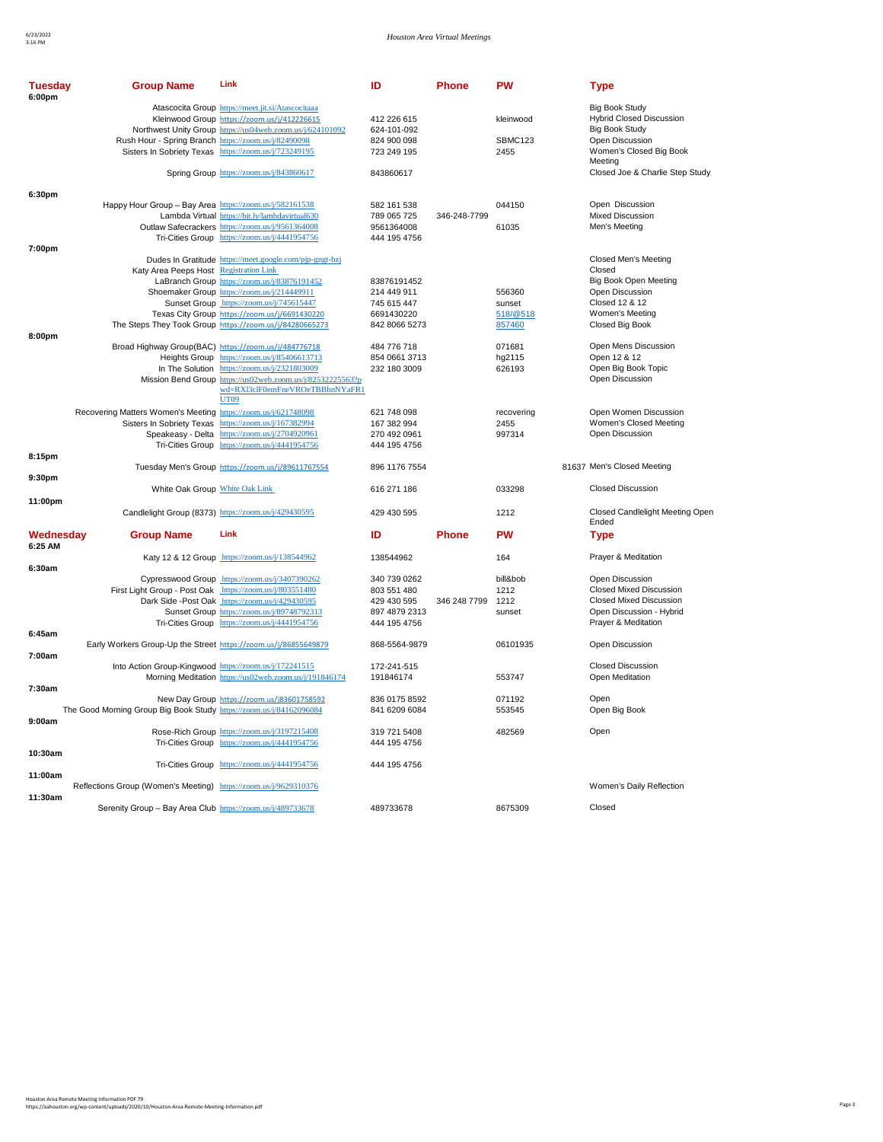| <b>Tuesday</b><br>6:00pm | <b>Group Name</b>                                                   | Link                                                                                                                                                          | ID                             | <b>Phone</b> | <b>PW</b>              | <b>Type</b>                                                                       |
|--------------------------|---------------------------------------------------------------------|---------------------------------------------------------------------------------------------------------------------------------------------------------------|--------------------------------|--------------|------------------------|-----------------------------------------------------------------------------------|
|                          |                                                                     | Atascocita Group https://meet.jit.si/Atascocitaaa<br>Kleinwood Group https://zoom.us/j/412226615<br>Northwest Unity Group https://us04web.zoom.us/j/624101092 | 412 226 615<br>624-101-092     |              | kleinwood              | <b>Big Book Study</b><br><b>Hybrid Closed Discussion</b><br><b>Big Book Study</b> |
|                          | Rush Hour - Spring Branch https://zoom.us/j/82490098                | Sisters In Sobriety Texas https://zoom.us/j/723249195                                                                                                         | 824 900 098<br>723 249 195     |              | <b>SBMC123</b><br>2455 | Open Discussion<br>Women's Closed Big Book<br>Meeting                             |
|                          |                                                                     | Spring Group https://zoom.us/j/843860617                                                                                                                      | 843860617                      |              |                        | Closed Joe & Charlie Step Study                                                   |
| 6:30pm                   |                                                                     |                                                                                                                                                               |                                |              |                        |                                                                                   |
|                          | Happy Hour Group - Bay Area https://zoom.us/j/582161538             | Lambda Virtual https://bit.ly/lambdavirtual630                                                                                                                | 582 161 538<br>789 065 725     | 346-248-7799 | 044150                 | Open Discussion<br><b>Mixed Discussion</b>                                        |
|                          |                                                                     | Outlaw Safecrackers https://zoom.us/j/9561364008<br>Tri-Cities Group https://zoom.us/j/4441954756                                                             | 9561364008<br>444 195 4756     |              | 61035                  | Men's Meeting                                                                     |
| 7:00pm                   |                                                                     |                                                                                                                                                               |                                |              |                        |                                                                                   |
|                          |                                                                     | Dudes In Gratitude https://meet.google.com/pjp-gngt-bzj                                                                                                       |                                |              |                        | Closed Men's Meeting                                                              |
|                          | Katy Area Peeps Host Registration Link                              |                                                                                                                                                               |                                |              |                        | Closed                                                                            |
|                          |                                                                     | LaBranch Group https://zoom.us/j/83876191452                                                                                                                  | 83876191452                    |              |                        | Big Book Open Meeting                                                             |
|                          |                                                                     | Shoemaker Group https://zoom.us/j/214449911                                                                                                                   | 214 449 911                    |              | 556360                 | Open Discussion                                                                   |
|                          |                                                                     | Sunset Group https://zoom.us/j/745615447                                                                                                                      | 745 615 447                    |              | sunset                 | Closed 12 & 12                                                                    |
|                          |                                                                     | Texas City Group https://zoom.us/j/6691430220                                                                                                                 | 6691430220                     |              | 518/@518               | Women's Meeting                                                                   |
|                          |                                                                     | The Steps They Took Group https://zoom.us/j/84280665273                                                                                                       | 842 8066 5273                  |              | 857460                 | Closed Big Book                                                                   |
| 8:00pm                   |                                                                     |                                                                                                                                                               |                                |              |                        |                                                                                   |
|                          | Broad Highway Group(BAC) https://zoom.us/j/484776718                |                                                                                                                                                               | 484 776 718                    |              | 071681                 | Open Mens Discussion                                                              |
|                          |                                                                     | Heights Group https://zoom.us/j/85406613713                                                                                                                   | 854 0661 3713                  |              | hg2115                 | Open 12 & 12                                                                      |
|                          |                                                                     | In The Solution https://zoom.us/j/2321803009                                                                                                                  | 232 180 3009                   |              | 626193                 | Open Big Book Topic                                                               |
|                          |                                                                     | Mission Bend Group https://us02web.zoom.us/j/82532225563?p<br>wd=RXl3clF0emFneVROeTBBbnNYaFR1<br><b>UT09</b>                                                  |                                |              |                        | Open Discussion                                                                   |
|                          | Recovering Matters Women's Meeting https://zoom.us/j/621748098      |                                                                                                                                                               | 621 748 098                    |              | recovering             | Open Women Discussion                                                             |
|                          |                                                                     | Sisters In Sobriety Texas https://zoom.us/j/167382994                                                                                                         | 167 382 994                    |              | 2455                   | Women's Closed Meeting                                                            |
|                          |                                                                     | Speakeasy - Delta https://zoom.us/j/2704920961                                                                                                                | 270 492 0961                   |              | 997314                 | Open Discussion                                                                   |
|                          |                                                                     | Tri-Cities Group https://zoom.us/j/4441954756                                                                                                                 | 444 195 4756                   |              |                        |                                                                                   |
| 8:15pm                   |                                                                     | Tuesday Men's Group https://zoom.us/j/89611767554                                                                                                             | 896 1176 7554                  |              |                        | 81637 Men's Closed Meeting                                                        |
| 9:30pm                   | White Oak Group White Oak Link                                      |                                                                                                                                                               | 616 271 186                    |              | 033298                 | <b>Closed Discussion</b>                                                          |
| 11:00pm                  |                                                                     | Candlelight Group (8373) https://zoom.us/j/429430595                                                                                                          | 429 430 595                    |              | 1212                   | Closed Candlelight Meeting Open                                                   |
|                          |                                                                     |                                                                                                                                                               |                                |              |                        | Ended                                                                             |
| Wednesdav<br>6:25 AM     | <b>Group Name</b>                                                   | Link<br>Katy 12 & 12 Group https://zoom.us/j/138544962                                                                                                        | ID<br>138544962                | <b>Phone</b> | PW<br>164              | <b>Type</b><br>Prayer & Meditation                                                |
| 6:30am                   |                                                                     |                                                                                                                                                               |                                |              |                        |                                                                                   |
|                          |                                                                     | Cypresswood Group https://zoom.us/j/3407390262                                                                                                                | 340 739 0262                   |              | bill&bob               | Open Discussion                                                                   |
|                          | First Light Group - Post Oak https://zoom.us/j/803551480            |                                                                                                                                                               | 803 551 480                    |              | 1212                   | <b>Closed Mixed Discussion</b>                                                    |
|                          |                                                                     | Dark Side -Post Oak https://zoom.us/j/429430595                                                                                                               | 429 430 595                    | 346 248 7799 | 1212                   | <b>Closed Mixed Discussion</b>                                                    |
|                          |                                                                     | Sunset Group https://zoom.us/j/89748792313                                                                                                                    | 897 4879 2313                  |              | sunset                 | Open Discussion - Hybrid                                                          |
|                          |                                                                     | Tri-Cities Group https://zoom.us/j/4441954756                                                                                                                 | 444 195 4756                   |              |                        | Prayer & Meditation                                                               |
| 6:45am                   |                                                                     |                                                                                                                                                               |                                |              |                        |                                                                                   |
|                          | Early Workers Group-Up the Street https://zoom.us/j/86855649879     |                                                                                                                                                               | 868-5564-9879                  |              | 06101935               | Open Discussion                                                                   |
| 7:00am                   | Into Action Group-Kingwood https://zoom.us/j/172241515              | Morning Meditation https://us02web.zoom.us/j/191846174                                                                                                        | 172-241-515<br>191846174       |              | 553747                 | <b>Closed Discussion</b><br>Open Meditation                                       |
| 7:30am                   |                                                                     |                                                                                                                                                               |                                |              |                        |                                                                                   |
|                          | The Good Morning Group Big Book Study https://zoom.us/j/84162096084 | New Day Group https://zoom.us/j83601758592                                                                                                                    | 836 0175 8592<br>841 6209 6084 |              | 071192<br>553545       | Open<br>Open Big Book                                                             |
| 9:00am                   |                                                                     |                                                                                                                                                               |                                |              |                        |                                                                                   |
|                          |                                                                     | Rose-Rich Group https://zoom.us/j/3197215408                                                                                                                  | 319 721 5408                   |              | 482569                 | Open                                                                              |
|                          |                                                                     | Tri-Cities Group https://zoom.us/j/4441954756                                                                                                                 | 444 195 4756                   |              |                        |                                                                                   |
| 10:30am                  |                                                                     |                                                                                                                                                               |                                |              |                        |                                                                                   |
|                          |                                                                     | Tri-Cities Group https://zoom.us/j/4441954756                                                                                                                 | 444 195 4756                   |              |                        |                                                                                   |
| 11:00am                  |                                                                     |                                                                                                                                                               |                                |              |                        |                                                                                   |
| 11:30am                  | Reflections Group (Women's Meeting) https://zoom.us/j/9629310376    |                                                                                                                                                               |                                |              |                        | Women's Daily Reflection<br>Closed                                                |
|                          | Serenity Group - Bay Area Club https://zoom.us/j/489733678          |                                                                                                                                                               | 489733678                      |              | 8675309                |                                                                                   |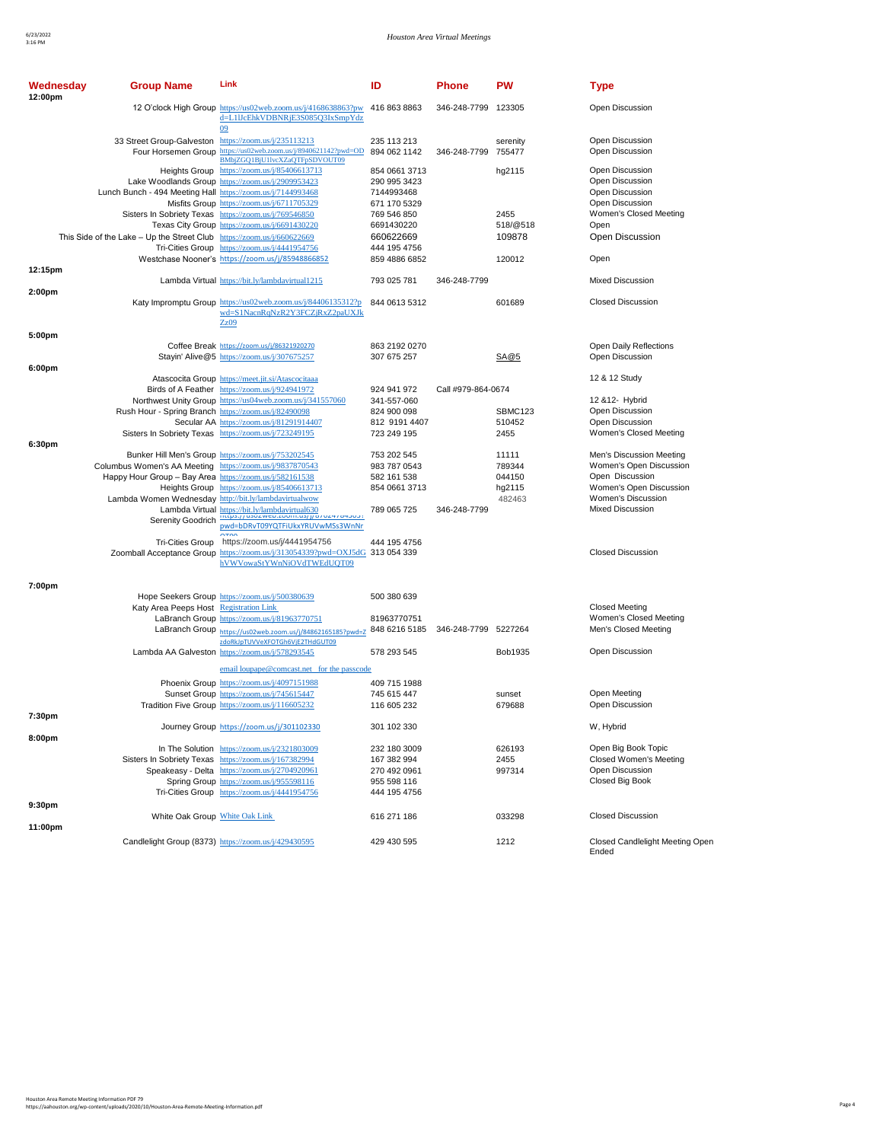| Wednesday<br>12:00pm | <b>Group Name</b>                                                      | Link                                                                                                       | ID                           | Phone                | <b>PW</b>        | <b>Type</b>                                    |
|----------------------|------------------------------------------------------------------------|------------------------------------------------------------------------------------------------------------|------------------------------|----------------------|------------------|------------------------------------------------|
|                      |                                                                        | 12 O'clock High Group https://us02web.zoom.us/j/4168638863?pw<br>d=L1IJcEhkVDBNRiE3S085O3IxSmpYdz<br>09    | 416 863 8863                 | 346-248-7799 123305  |                  | Open Discussion                                |
|                      | 33 Street Group-Galveston https://zoom.us/j/235113213                  |                                                                                                            | 235 113 213                  |                      | serenity         | Open Discussion                                |
|                      |                                                                        | Four Horsemen Group https://us02web.zoom.us/j/8940621142?pwd=OD<br>BMbjZGQ1BjU1lvcXZaQTFpSDVOUT09          | 894 062 1142                 | 346-248-7799 755477  |                  | Open Discussion                                |
|                      |                                                                        | Heights Group https://zoom.us/j/85406613713                                                                | 854 0661 3713                |                      | hg2115           | <b>Open Discussion</b>                         |
|                      |                                                                        | Lake Woodlands Group https://zoom.us/j/2909953423                                                          | 290 995 3423                 |                      |                  | Open Discussion                                |
|                      | Lunch Bunch - 494 Meeting Hall https://zoom.us/j/7144993468            |                                                                                                            | 7144993468                   |                      |                  | Open Discussion                                |
|                      |                                                                        | Misfits Group https://zoom.us/j/6711705329                                                                 | 671 170 5329                 |                      |                  | Open Discussion                                |
|                      |                                                                        | Sisters In Sobriety Texas https://zoom.us/j/769546850                                                      | 769 546 850                  |                      | 2455             | Women's Closed Meeting                         |
|                      | This Side of the Lake - Up the Street Club https://zoom.us/j/660622669 | Texas City Group https://zoom.us/j/6691430220                                                              | 6691430220                   |                      | 518/@518         | Open<br>Open Discussion                        |
|                      |                                                                        | Tri-Cities Group https://zoom.us/j/4441954756                                                              | 660622669<br>444 195 4756    |                      | 109878           |                                                |
|                      |                                                                        | Westchase Nooner's https://zoom.us/j/85948866852                                                           | 859 4886 6852                |                      | 120012           | Open                                           |
| 12:15pm              |                                                                        |                                                                                                            |                              |                      |                  |                                                |
|                      |                                                                        | Lambda Virtual https://bit.ly/lambdavirtual1215                                                            | 793 025 781                  | 346-248-7799         |                  | <b>Mixed Discussion</b>                        |
| 2:00 <sub>pm</sub>   |                                                                        |                                                                                                            |                              |                      |                  |                                                |
|                      |                                                                        | Katy Impromptu Group https://us02web.zoom.us/j/84406135312?p<br>wd=S1NacnRqNzR2Y3FCZjRxZ2paUXJk<br>Zz09    | 844 0613 5312                |                      | 601689           | <b>Closed Discussion</b>                       |
| 5:00pm               |                                                                        |                                                                                                            |                              |                      |                  |                                                |
|                      |                                                                        | Coffee Break https://zoom.us/j/86321920270<br>Stayin' Alive@5 https://zoom.us/j/307675257                  | 863 2192 0270<br>307 675 257 |                      | SA@5             | Open Daily Reflections<br>Open Discussion      |
| 6:00pm               |                                                                        |                                                                                                            |                              |                      |                  |                                                |
|                      |                                                                        | Atascocita Group https://meet.jit.si/Atascocitaaa                                                          |                              |                      |                  | 12 & 12 Study                                  |
|                      |                                                                        | Birds of A Feather https://zoom.us/j/924941972                                                             | 924 941 972                  | Call #979-864-0674   |                  |                                                |
|                      |                                                                        | Northwest Unity Group https://us04web.zoom.us/j/341557060                                                  | 341-557-060                  |                      |                  | 12 & 12- Hybrid                                |
|                      | Rush Hour - Spring Branch https://zoom.us/j/82490098                   |                                                                                                            | 824 900 098                  |                      | SBMC123          | Open Discussion                                |
|                      |                                                                        | Secular AA https://zoom.us/j/81291914407<br>Sisters In Sobriety Texas https://zoom.us/j/723249195          | 812 9191 4407<br>723 249 195 |                      | 510452<br>2455   | Open Discussion<br>Women's Closed Meeting      |
| 6:30pm               |                                                                        |                                                                                                            |                              |                      |                  |                                                |
|                      |                                                                        | Bunker Hill Men's Group https://zoom.us/j/753202545                                                        | 753 202 545                  |                      | 11111            | Men's Discussion Meeting                       |
|                      | Columbus Women's AA Meeting https://zoom.us/j/9837870543               |                                                                                                            | 983 787 0543                 |                      | 789344           | Women's Open Discussion                        |
|                      | Happy Hour Group - Bay Area https://zoom.us/j/582161538                |                                                                                                            | 582 161 538                  |                      | 044150           | Open Discussion                                |
|                      | Lambda Women Wednesday http://bit.ly/lambdavirtualwow                  | Heights Group https://zoom.us/j/85406613713                                                                | 854 0661 3713                |                      | hg2115<br>482463 | Women's Open Discussion<br>Women's Discussion  |
|                      |                                                                        | Lambda Virtual https://bit.ly/lambdavirtual630                                                             | 789 065 725                  | 346-248-7799         |                  | <b>Mixed Discussion</b>                        |
|                      | Serenity Goodrich                                                      | ittips://usuzweb.zoom.us/j/o/oz4/o43031<br>pwd=bDRvT09YQTFiUkxYRUVwMSs3WnNr                                |                              |                      |                  |                                                |
|                      |                                                                        |                                                                                                            |                              |                      |                  |                                                |
|                      | Tri-Cities Group                                                       | https://zoom.us/j/4441954756                                                                               | 444 195 4756                 |                      |                  | <b>Closed Discussion</b>                       |
|                      |                                                                        | Zoomball Acceptance Group https://zoom.us/j/313054339?pwd=OXJ5dG 313 054 339<br>hVWVowaStYWnNiOVdTWEdUQT09 |                              |                      |                  |                                                |
|                      |                                                                        |                                                                                                            |                              |                      |                  |                                                |
| 7:00pm               |                                                                        |                                                                                                            |                              |                      |                  |                                                |
|                      |                                                                        | Hope Seekers Group https://zoom.us/j/500380639                                                             | 500 380 639                  |                      |                  |                                                |
|                      | Katy Area Peeps Host Registration Link                                 |                                                                                                            |                              |                      |                  | <b>Closed Meeting</b>                          |
|                      |                                                                        | LaBranch Group https://zoom.us/j/81963770751                                                               | 81963770751<br>848 6216 5185 | 346-248-7799 5227264 |                  | Women's Closed Meeting<br>Men's Closed Meeting |
|                      |                                                                        | LaBranch Group https://us02web.zoom.us/j/84862165185?pwd=Z<br>zdoRkJpTUVVeXFOTGh6VjE2THdGUT09              |                              |                      |                  |                                                |
|                      |                                                                        | Lambda AA Galveston https://zoom.us/j/578293545                                                            | 578 293 545                  |                      | Bob1935          | Open Discussion                                |
|                      |                                                                        | email loupape@comcast.net for the passcode                                                                 |                              |                      |                  |                                                |
|                      |                                                                        | Phoenix Group https://zoom.us/j/4097151988                                                                 | 409 715 1988                 |                      |                  |                                                |
|                      |                                                                        | Sunset Group https://zoom.us/j/745615447                                                                   | 745 615 447                  |                      | sunset           | Open Meeting                                   |
|                      |                                                                        | Tradition Five Group https://zoom.us/j/116605232                                                           | 116 605 232                  |                      | 679688           | Open Discussion                                |
| 7:30pm               |                                                                        |                                                                                                            |                              |                      |                  |                                                |
|                      |                                                                        | Journey Group https://zoom.us/j/301102330                                                                  | 301 102 330                  |                      |                  | W, Hybrid                                      |
| 8:00pm               |                                                                        | In The Solution https://zoom.us/j/2321803009                                                               | 232 180 3009                 |                      | 626193           | Open Big Book Topic                            |
|                      |                                                                        | Sisters In Sobriety Texas https://zoom.us/j/167382994                                                      | 167 382 994                  |                      | 2455             | Closed Women's Meeting                         |
|                      |                                                                        | Speakeasy - Delta https://zoom.us/j/2704920961                                                             | 270 492 0961                 |                      | 997314           | Open Discussion                                |
|                      |                                                                        | Spring Group https://zoom.us/j/955598116                                                                   | 955 598 116                  |                      |                  | Closed Big Book                                |
|                      |                                                                        | Tri-Cities Group https://zoom.us/j/4441954756                                                              | 444 195 4756                 |                      |                  |                                                |
| 9:30pm               |                                                                        |                                                                                                            |                              |                      |                  |                                                |
| 11:00pm              | White Oak Group White Oak Link                                         |                                                                                                            | 616 271 186                  |                      | 033298           | <b>Closed Discussion</b>                       |
|                      |                                                                        | Candlelight Group (8373) https://zoom.us/j/429430595                                                       | 429 430 595                  |                      | 1212             | Closed Candlelight Meeting Open<br>Ended       |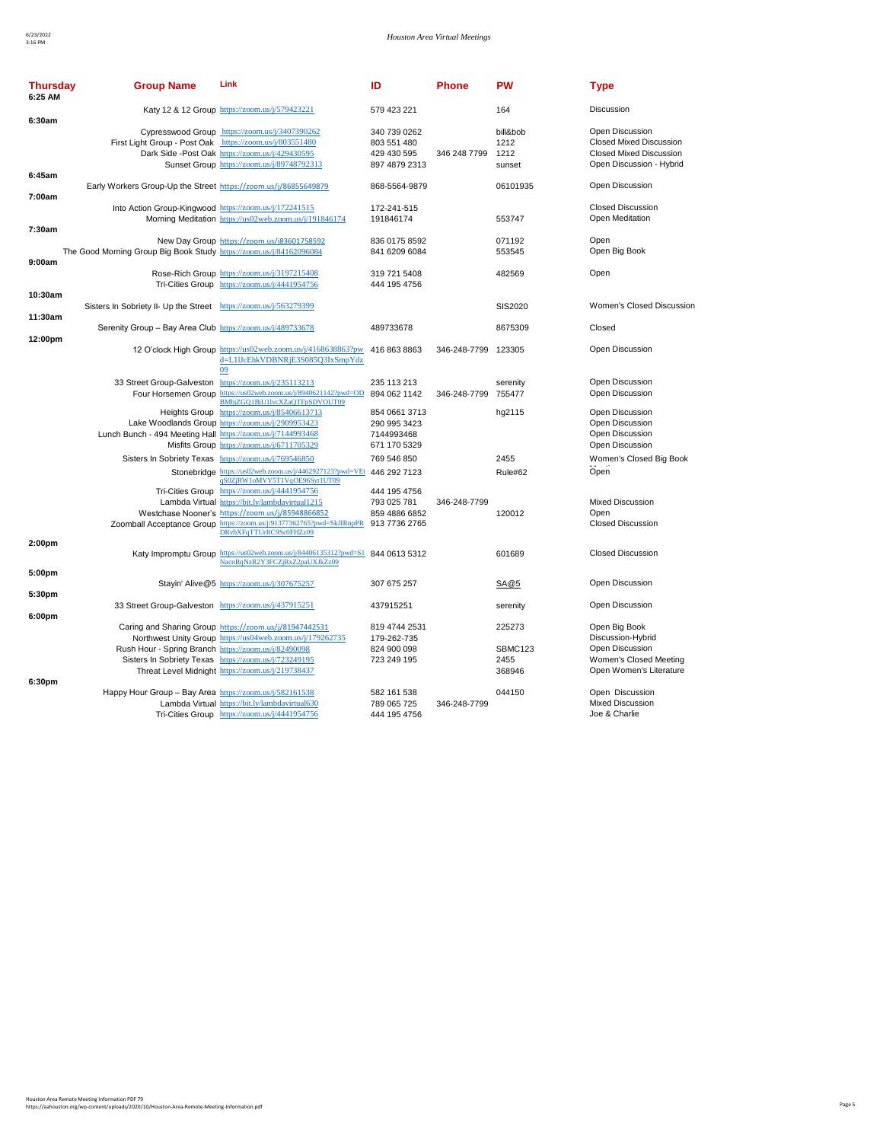| <b>Thursday</b><br>6:25 AM | <b>Group Name</b>                                                   | Link                                                                                                                                                                                                                                                           | ID                                                            | <b>Phone</b>        | <b>PW</b>                           | <b>Type</b>                                                                                                     |
|----------------------------|---------------------------------------------------------------------|----------------------------------------------------------------------------------------------------------------------------------------------------------------------------------------------------------------------------------------------------------------|---------------------------------------------------------------|---------------------|-------------------------------------|-----------------------------------------------------------------------------------------------------------------|
| 6:30am                     |                                                                     | Katy 12 & 12 Group https://zoom.us/j/579423221                                                                                                                                                                                                                 | 579 423 221                                                   |                     | 164                                 | <b>Discussion</b>                                                                                               |
|                            | First Light Group - Post Oak https://zoom.us/j/803551480            | Cypresswood Group https://zoom.us/j/3407390262<br>Dark Side -Post Oak https://zoom.us/j/429430595<br>Sunset Group https://zoom.us/j/89748792313                                                                                                                | 340 739 0262<br>803 551 480<br>429 430 595<br>897 4879 2313   | 346 248 7799        | bill&bob<br>1212<br>1212<br>sunset  | Open Discussion<br><b>Closed Mixed Discussion</b><br><b>Closed Mixed Discussion</b><br>Open Discussion - Hybrid |
| 6:45am                     | Early Workers Group-Up the Street https://zoom.us/j/86855649879     |                                                                                                                                                                                                                                                                | 868-5564-9879                                                 |                     | 06101935                            | Open Discussion                                                                                                 |
| 7:00am                     | Into Action Group-Kingwood https://zoom.us/j/172241515              | Morning Meditation https://us02web.zoom.us/j/191846174                                                                                                                                                                                                         | 172-241-515<br>191846174                                      |                     | 553747                              | <b>Closed Discussion</b><br>Open Meditation                                                                     |
| 7:30am                     | The Good Morning Group Big Book Study https://zoom.us/j/84162096084 | New Day Group https://zoom.us/j83601758592                                                                                                                                                                                                                     | 836 0175 8592<br>841 6209 6084                                |                     | 071192<br>553545                    | Open<br>Open Big Book                                                                                           |
| 9:00am                     |                                                                     | Rose-Rich Group https://zoom.us/j/3197215408<br>Tri-Cities Group https://zoom.us/j/4441954756                                                                                                                                                                  | 319 721 5408<br>444 195 4756                                  |                     | 482569                              | Open                                                                                                            |
| 10:30am                    | Sisters In Sobriety II- Up the Street https://zoom.us/j/563279399   |                                                                                                                                                                                                                                                                |                                                               |                     | SIS2020                             | Women's Closed Discussion                                                                                       |
| 11:30am<br>12:00pm         | Serenity Group - Bay Area Club https://zoom.us/j/489733678          |                                                                                                                                                                                                                                                                | 489733678                                                     |                     | 8675309                             | Closed                                                                                                          |
|                            |                                                                     | 12 O'clock High Group https://us02web.zoom.us/j/4168638863?pw<br>d=L1IJcEhkVDBNRiE3S085O3IxSmpYdz<br>09                                                                                                                                                        | 416 863 8863                                                  | 346-248-7799 123305 |                                     | Open Discussion                                                                                                 |
|                            | 33 Street Group-Galveston https://zoom.us/j/235113213               | Four Horsemen Group https://us02web.zoom.us/j/8940621142?pwd=OD 894 062 1142<br>BMbjZGQ1BjU1lvcXZaQTFpSDVOUT09                                                                                                                                                 | 235 113 213                                                   | 346-248-7799 755477 | serenity                            | Open Discussion<br>Open Discussion                                                                              |
|                            | Lunch Bunch - 494 Meeting Hall https://zoom.us/j/7144993468         | Heights Group https://zoom.us/j/85406613713<br>Lake Woodlands Group https://zoom.us/j/2909953423<br>Misfits Group https://zoom.us/j/6711705329                                                                                                                 | 854 0661 3713<br>290 995 3423<br>7144993468<br>671 170 5329   |                     | hg2115                              | Open Discussion<br>Open Discussion<br>Open Discussion<br>Open Discussion                                        |
|                            |                                                                     | Sisters In Sobriety Texas https://zoom.us/j/769546850<br>Stonebridge https://us02web.zoom.us/j/4462927123?pwd=VEt                                                                                                                                              | 769 546 850<br>446 292 7123                                   |                     | 2455<br>Rule#62                     | Women's Closed Big Book<br>Open                                                                                 |
|                            |                                                                     | qS0ZjRW1oMVY5T1VqOE96Syt1UT09<br>Tri-Cities Group https://zoom.us/j/4441954756<br>Lambda Virtual https://bit.ly/lambdavirtual1215<br>Westchase Nooner's https://zoom.us/j/85948866852<br>Zoomball Acceptance Group https://zoom.us/j/91377362765?pwd=SkJIRnpPR | 444 195 4756<br>793 025 781<br>859 4886 6852<br>913 7736 2765 | 346-248-7799        | 120012                              | <b>Mixed Discussion</b><br>Open<br><b>Closed Discussion</b>                                                     |
| 2:00pm                     |                                                                     | DRvbXFqTTUrRC9Sc0FHZz09<br>Katy Impromptu Group https://us02web.zoom.us/j/84406135312?pwd=S1 844 0613 5312<br>NacnRqNzR2Y3FCZjRxZ2paUXJkZz09                                                                                                                   |                                                               |                     | 601689                              | <b>Closed Discussion</b>                                                                                        |
| 5:00pm                     |                                                                     | Stayin' Alive@5 https://zoom.us/j/307675257                                                                                                                                                                                                                    | 307 675 257                                                   |                     | SA@5                                | Open Discussion                                                                                                 |
| 5:30pm                     | 33 Street Group-Galveston https://zoom.us/j/437915251               |                                                                                                                                                                                                                                                                | 437915251                                                     |                     | serenity                            | Open Discussion                                                                                                 |
| 6:00pm                     | Rush Hour - Spring Branch https://zoom.us/j/82490098                | Caring and Sharing Group https://zoom.us/j/81947442531<br>Northwest Unity Group https://us04web.zoom.us/j/179262735<br>Sisters In Sobriety Texas https://zoom.us/j/723249195<br>Threat Level Midnight https://zoom.us/j/219738437                              | 819 4744 2531<br>179-262-735<br>824 900 098<br>723 249 195    |                     | 225273<br>SBMC123<br>2455<br>368946 | Open Big Book<br>Discussion-Hybrid<br>Open Discussion<br>Women's Closed Meeting<br>Open Women's Literature      |
| 6:30pm                     | Happy Hour Group - Bay Area https://zoom.us/j/582161538             | Lambda Virtual https://bit.ly/lambdavirtual630<br>Tri-Cities Group https://zoom.us/j/4441954756                                                                                                                                                                | 582 161 538<br>789 065 725<br>444 195 4756                    | 346-248-7799        | 044150                              | Open Discussion<br><b>Mixed Discussion</b><br>Joe & Charlie                                                     |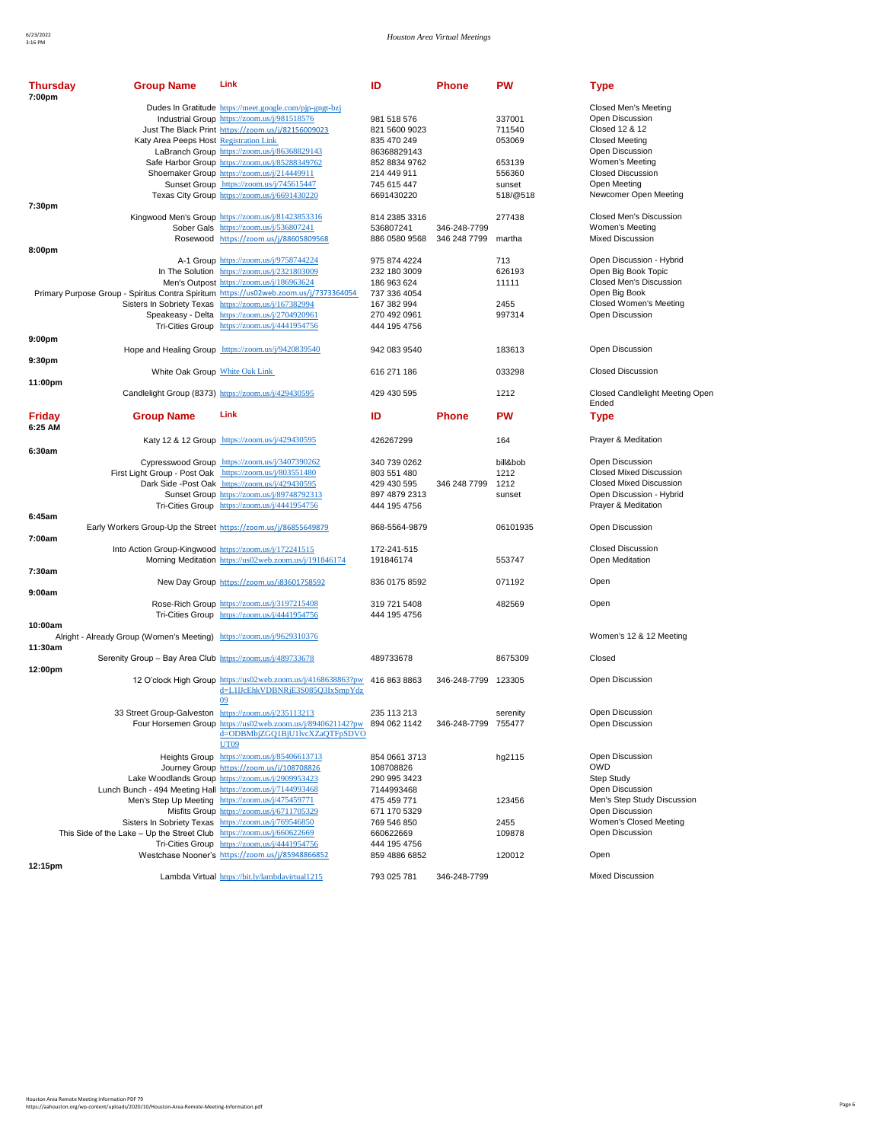Closed Candlelight Meeting Open

Lunch Bunch<br>
- 494 Discussion Men's Step Study Discussion. Open Discussion Women's Closed Meeting Open Discussion

| Closed Men's Meeting<br>Dudes In Gratitude https://meet.google.com/pjp-gngt-bzj<br>Industrial Group https://zoom.us/j/981518576<br>981 518 576<br>337001<br>Open Discussion<br>Just The Black Print https://zoom.us/j/82156009023<br>821 5600 9023<br>711540<br>Closed 12 & 12<br>Katy Area Peeps Host Registration Link<br>835 470 249<br>053069<br><b>Closed Meeting</b><br>LaBranch Group https://zoom.us/j/86368829143<br>86368829143<br>Open Discussion<br>Safe Harbor Group https://zoom.us/j/85288349762<br>852 8834 9762<br>653139<br>Women's Meeting<br>Shoemaker Group https://zoom.us/j/214449911<br>556360<br><b>Closed Discussion</b><br>214 449 911<br>Sunset Group https://zoom.us/j/745615447<br>745 615 447<br>Open Meeting<br>sunset<br>Newcomer Open Meeting<br>Texas City Group https://zoom.us/j/6691430220<br>6691430220<br>518/@518<br>7:30pm<br>Closed Men's Discussion<br>Kingwood Men's Group https://zoom.us/j/81423853316<br>277438<br>814 2385 3316<br>Sober Gals https://zoom.us/j/536807241<br>536807241<br>346-248-7799<br>Women's Meeting<br><b>Mixed Discussion</b><br>Rosewood https://zoom.us/j/88605809568<br>886 0580 9568<br>346 248 7799<br>martha<br>8:00pm<br>Open Discussion - Hybrid<br>A-1 Group https://zoom.us/j/9758744224<br>713<br>975 874 4224<br>In The Solution https://zoom.us/j/2321803009<br>Open Big Book Topic<br>626193<br>232 180 3009<br>Men's Outpost https://zoom.us/j/186963624<br>Closed Men's Discussion<br>186 963 624<br>11111<br>Primary Purpose Group - Spiritus Contra Spiritum https://us02web.zoom.us/j/7373364054<br>Open Big Book<br>737 336 4054<br>Closed Women's Meeting<br>Sisters In Sobriety Texas https://zoom.us/j/167382994<br>2455<br>167 382 994<br>Speakeasy - Delta https://zoom.us/j/2704920961<br>997314<br>Open Discussion<br>270 492 0961<br>Tri-Cities Group https://zoom.us/j/4441954756<br>444 195 4756<br>9:00 <sub>pm</sub><br>Hope and Healing Group https://zoom.us/j/9420839540<br>Open Discussion<br>942 083 9540<br>183613<br>9:30pm<br>White Oak Group White Oak Link<br><b>Closed Discussion</b><br>616 271 186<br>033298<br>11:00pm<br><b>Closed Candlelight Meetin</b><br>Candlelight Group (8373) https://zoom.us/j/429430595<br>429 430 595<br>1212<br>Ended<br>Link<br>ID<br>PW<br>Friday<br><b>Group Name</b><br>Phone<br><b>Type</b><br>6:25 AM<br>Katy 12 & 12 Group https://zoom.us/j/429430595<br>164<br>Prayer & Meditation<br>426267299<br>6:30am<br>Cypresswood Group https://zoom.us/j/3407390262<br>340 739 0262<br>bill&bob<br>Open Discussion<br><b>Closed Mixed Discussion</b><br>First Light Group - Post Oak https://zoom.us/j/803551480<br>1212<br>803 551 480<br>Dark Side -Post Oak https://zoom.us/j/429430595<br><b>Closed Mixed Discussion</b><br>1212<br>429 430 595<br>346 248 7799<br>Sunset Group https://zoom.us/j/89748792313<br>Open Discussion - Hybrid<br>897 4879 2313<br>sunset<br>Tri-Cities Group https://zoom.us/j/4441954756<br>Prayer & Meditation<br>444 195 4756<br>6:45am<br>Early Workers Group-Up the Street https://zoom.us/j/86855649879<br>06101935<br>Open Discussion<br>868-5564-9879<br>7:00am<br><b>Closed Discussion</b><br>Into Action Group-Kingwood https://zoom.us/j/172241515<br>172-241-515<br>Morning Meditation https://us02web.zoom.us/j/191846174<br>553747<br>Open Meditation<br>191846174<br>7:30am<br>New Day Group https://zoom.us/j83601758592<br>836 0175 8592<br>071192<br>Open<br>9:00am<br>Rose-Rich Group https://zoom.us/j/3197215408<br>319 721 5408<br>482569<br>Open<br>Tri-Cities Group https://zoom.us/j/4441954756<br>444 195 4756<br>10:00am<br>Women's 12 & 12 Meeting<br>Alright - Already Group (Women's Meeting) https://zoom.us/j/9629310376<br>11:30am<br>Closed<br>Serenity Group - Bay Area Club https://zoom.us/j/489733678<br>489733678<br>8675309<br>12:00pm<br>12 O'clock High Group https://us02web.zoom.us/j/4168638863?pw 416 863 8863<br>346-248-7799 123305<br>Open Discussion<br>d=L1IJcEhkVDBNRjE3S085Q3IxSmpYdz<br>09<br>Open Discussion<br>33 Street Group-Galveston https://zoom.us/j/235113213<br>235 113 213<br>serenity<br><u> Four Horsemen Group_https://us02web.zoom.us/j/8940621142?pw__894 062 1142</u><br>346-248-7799 755477<br>Open Discussion<br>d=ODBMbjZGQ1BjU1lvcXZaQTFpSDVO<br>UT09<br>Open Discussion<br>Heights Group https://zoom.us/j/85406613713<br>hg2115<br>854 0661 3713<br>OWD<br>Journey Group https://zoom.us/j/108708826<br>108708826<br>Lake Woodlands Group https://zoom.us/j/2909953423<br><b>Step Study</b><br>290 995 3423<br>Lunch Bunch - 494 Meeting Hall https://zoom.us/j/7144993468<br>Open Discussion<br>7144993468<br>Men's Step Up Meeting https://zoom.us/j/475459771<br>Men's Step Study Discuss<br>475 459 771<br>123456<br>Open Discussion<br>Misfits Group https://zoom.us/j/6711705329<br>671 170 5329<br>Women's Closed Meeting<br>Sisters In Sobriety Texas https://zoom.us/j/769546850<br>2455<br>769 546 850<br>This Side of the Lake - Up the Street Club https://zoom.us/j/660622669<br>Open Discussion<br>660622669<br>109878<br>Tri-Cities Group https://zoom.us/j/4441954756<br>444 195 4756<br>Westchase Nooner's https://zoom.us/j/85948866852<br>120012<br>Open<br>859 4886 6852<br>12:15pm<br><b>Mixed Discussion</b><br>Lambda Virtual https://bit.ly/lambdavirtual1215<br>793 025 781<br>346-248-7799 | 7:00pm | Thursday<br><b>Group Name</b> | Link | ID | Phone | <b>PW</b> | Type |
|---------------------------------------------------------------------------------------------------------------------------------------------------------------------------------------------------------------------------------------------------------------------------------------------------------------------------------------------------------------------------------------------------------------------------------------------------------------------------------------------------------------------------------------------------------------------------------------------------------------------------------------------------------------------------------------------------------------------------------------------------------------------------------------------------------------------------------------------------------------------------------------------------------------------------------------------------------------------------------------------------------------------------------------------------------------------------------------------------------------------------------------------------------------------------------------------------------------------------------------------------------------------------------------------------------------------------------------------------------------------------------------------------------------------------------------------------------------------------------------------------------------------------------------------------------------------------------------------------------------------------------------------------------------------------------------------------------------------------------------------------------------------------------------------------------------------------------------------------------------------------------------------------------------------------------------------------------------------------------------------------------------------------------------------------------------------------------------------------------------------------------------------------------------------------------------------------------------------------------------------------------------------------------------------------------------------------------------------------------------------------------------------------------------------------------------------------------------------------------------------------------------------------------------------------------------------------------------------------------------------------------------------------------------------------------------------------------------------------------------------------------------------------------------------------------------------------------------------------------------------------------------------------------------------------------------------------------------------------------------------------------------------------------------------------------------------------------------------------------------------------------------------------------------------------------------------------------------------------------------------------------------------------------------------------------------------------------------------------------------------------------------------------------------------------------------------------------------------------------------------------------------------------------------------------------------------------------------------------------------------------------------------------------------------------------------------------------------------------------------------------------------------------------------------------------------------------------------------------------------------------------------------------------------------------------------------------------------------------------------------------------------------------------------------------------------------------------------------------------------------------------------------------------------------------------------------------------------------------------------------------------------------------------------------------------------------------------------------------------------------------------------------------------------------------------------------------------------------------------------------------------------------------------------------------------------------------------------------------------------------------------------------------------------------------------------------------------------------------------------------------------------------------------------------------------------------------------------------------------------------------------------------------------------------------------------------------------------------------------------------------------------------------------------------------------------------------------------------------------------------------------------------------------------------------------------------------------------------------------------------------------------------------------------------------------------------------------------------------------------------------------------|--------|-------------------------------|------|----|-------|-----------|------|
|                                                                                                                                                                                                                                                                                                                                                                                                                                                                                                                                                                                                                                                                                                                                                                                                                                                                                                                                                                                                                                                                                                                                                                                                                                                                                                                                                                                                                                                                                                                                                                                                                                                                                                                                                                                                                                                                                                                                                                                                                                                                                                                                                                                                                                                                                                                                                                                                                                                                                                                                                                                                                                                                                                                                                                                                                                                                                                                                                                                                                                                                                                                                                                                                                                                                                                                                                                                                                                                                                                                                                                                                                                                                                                                                                                                                                                                                                                                                                                                                                                                                                                                                                                                                                                                                                                                                                                                                                                                                                                                                                                                                                                                                                                                                                                                                                                                                                                                                                                                                                                                                                                                                                                                                                                                                                                                                                                                       |        |                               |      |    |       |           |      |
|                                                                                                                                                                                                                                                                                                                                                                                                                                                                                                                                                                                                                                                                                                                                                                                                                                                                                                                                                                                                                                                                                                                                                                                                                                                                                                                                                                                                                                                                                                                                                                                                                                                                                                                                                                                                                                                                                                                                                                                                                                                                                                                                                                                                                                                                                                                                                                                                                                                                                                                                                                                                                                                                                                                                                                                                                                                                                                                                                                                                                                                                                                                                                                                                                                                                                                                                                                                                                                                                                                                                                                                                                                                                                                                                                                                                                                                                                                                                                                                                                                                                                                                                                                                                                                                                                                                                                                                                                                                                                                                                                                                                                                                                                                                                                                                                                                                                                                                                                                                                                                                                                                                                                                                                                                                                                                                                                                                       |        |                               |      |    |       |           |      |
|                                                                                                                                                                                                                                                                                                                                                                                                                                                                                                                                                                                                                                                                                                                                                                                                                                                                                                                                                                                                                                                                                                                                                                                                                                                                                                                                                                                                                                                                                                                                                                                                                                                                                                                                                                                                                                                                                                                                                                                                                                                                                                                                                                                                                                                                                                                                                                                                                                                                                                                                                                                                                                                                                                                                                                                                                                                                                                                                                                                                                                                                                                                                                                                                                                                                                                                                                                                                                                                                                                                                                                                                                                                                                                                                                                                                                                                                                                                                                                                                                                                                                                                                                                                                                                                                                                                                                                                                                                                                                                                                                                                                                                                                                                                                                                                                                                                                                                                                                                                                                                                                                                                                                                                                                                                                                                                                                                                       |        |                               |      |    |       |           |      |
|                                                                                                                                                                                                                                                                                                                                                                                                                                                                                                                                                                                                                                                                                                                                                                                                                                                                                                                                                                                                                                                                                                                                                                                                                                                                                                                                                                                                                                                                                                                                                                                                                                                                                                                                                                                                                                                                                                                                                                                                                                                                                                                                                                                                                                                                                                                                                                                                                                                                                                                                                                                                                                                                                                                                                                                                                                                                                                                                                                                                                                                                                                                                                                                                                                                                                                                                                                                                                                                                                                                                                                                                                                                                                                                                                                                                                                                                                                                                                                                                                                                                                                                                                                                                                                                                                                                                                                                                                                                                                                                                                                                                                                                                                                                                                                                                                                                                                                                                                                                                                                                                                                                                                                                                                                                                                                                                                                                       |        |                               |      |    |       |           |      |
|                                                                                                                                                                                                                                                                                                                                                                                                                                                                                                                                                                                                                                                                                                                                                                                                                                                                                                                                                                                                                                                                                                                                                                                                                                                                                                                                                                                                                                                                                                                                                                                                                                                                                                                                                                                                                                                                                                                                                                                                                                                                                                                                                                                                                                                                                                                                                                                                                                                                                                                                                                                                                                                                                                                                                                                                                                                                                                                                                                                                                                                                                                                                                                                                                                                                                                                                                                                                                                                                                                                                                                                                                                                                                                                                                                                                                                                                                                                                                                                                                                                                                                                                                                                                                                                                                                                                                                                                                                                                                                                                                                                                                                                                                                                                                                                                                                                                                                                                                                                                                                                                                                                                                                                                                                                                                                                                                                                       |        |                               |      |    |       |           |      |
|                                                                                                                                                                                                                                                                                                                                                                                                                                                                                                                                                                                                                                                                                                                                                                                                                                                                                                                                                                                                                                                                                                                                                                                                                                                                                                                                                                                                                                                                                                                                                                                                                                                                                                                                                                                                                                                                                                                                                                                                                                                                                                                                                                                                                                                                                                                                                                                                                                                                                                                                                                                                                                                                                                                                                                                                                                                                                                                                                                                                                                                                                                                                                                                                                                                                                                                                                                                                                                                                                                                                                                                                                                                                                                                                                                                                                                                                                                                                                                                                                                                                                                                                                                                                                                                                                                                                                                                                                                                                                                                                                                                                                                                                                                                                                                                                                                                                                                                                                                                                                                                                                                                                                                                                                                                                                                                                                                                       |        |                               |      |    |       |           |      |
|                                                                                                                                                                                                                                                                                                                                                                                                                                                                                                                                                                                                                                                                                                                                                                                                                                                                                                                                                                                                                                                                                                                                                                                                                                                                                                                                                                                                                                                                                                                                                                                                                                                                                                                                                                                                                                                                                                                                                                                                                                                                                                                                                                                                                                                                                                                                                                                                                                                                                                                                                                                                                                                                                                                                                                                                                                                                                                                                                                                                                                                                                                                                                                                                                                                                                                                                                                                                                                                                                                                                                                                                                                                                                                                                                                                                                                                                                                                                                                                                                                                                                                                                                                                                                                                                                                                                                                                                                                                                                                                                                                                                                                                                                                                                                                                                                                                                                                                                                                                                                                                                                                                                                                                                                                                                                                                                                                                       |        |                               |      |    |       |           |      |
|                                                                                                                                                                                                                                                                                                                                                                                                                                                                                                                                                                                                                                                                                                                                                                                                                                                                                                                                                                                                                                                                                                                                                                                                                                                                                                                                                                                                                                                                                                                                                                                                                                                                                                                                                                                                                                                                                                                                                                                                                                                                                                                                                                                                                                                                                                                                                                                                                                                                                                                                                                                                                                                                                                                                                                                                                                                                                                                                                                                                                                                                                                                                                                                                                                                                                                                                                                                                                                                                                                                                                                                                                                                                                                                                                                                                                                                                                                                                                                                                                                                                                                                                                                                                                                                                                                                                                                                                                                                                                                                                                                                                                                                                                                                                                                                                                                                                                                                                                                                                                                                                                                                                                                                                                                                                                                                                                                                       |        |                               |      |    |       |           |      |
|                                                                                                                                                                                                                                                                                                                                                                                                                                                                                                                                                                                                                                                                                                                                                                                                                                                                                                                                                                                                                                                                                                                                                                                                                                                                                                                                                                                                                                                                                                                                                                                                                                                                                                                                                                                                                                                                                                                                                                                                                                                                                                                                                                                                                                                                                                                                                                                                                                                                                                                                                                                                                                                                                                                                                                                                                                                                                                                                                                                                                                                                                                                                                                                                                                                                                                                                                                                                                                                                                                                                                                                                                                                                                                                                                                                                                                                                                                                                                                                                                                                                                                                                                                                                                                                                                                                                                                                                                                                                                                                                                                                                                                                                                                                                                                                                                                                                                                                                                                                                                                                                                                                                                                                                                                                                                                                                                                                       |        |                               |      |    |       |           |      |
|                                                                                                                                                                                                                                                                                                                                                                                                                                                                                                                                                                                                                                                                                                                                                                                                                                                                                                                                                                                                                                                                                                                                                                                                                                                                                                                                                                                                                                                                                                                                                                                                                                                                                                                                                                                                                                                                                                                                                                                                                                                                                                                                                                                                                                                                                                                                                                                                                                                                                                                                                                                                                                                                                                                                                                                                                                                                                                                                                                                                                                                                                                                                                                                                                                                                                                                                                                                                                                                                                                                                                                                                                                                                                                                                                                                                                                                                                                                                                                                                                                                                                                                                                                                                                                                                                                                                                                                                                                                                                                                                                                                                                                                                                                                                                                                                                                                                                                                                                                                                                                                                                                                                                                                                                                                                                                                                                                                       |        |                               |      |    |       |           |      |
|                                                                                                                                                                                                                                                                                                                                                                                                                                                                                                                                                                                                                                                                                                                                                                                                                                                                                                                                                                                                                                                                                                                                                                                                                                                                                                                                                                                                                                                                                                                                                                                                                                                                                                                                                                                                                                                                                                                                                                                                                                                                                                                                                                                                                                                                                                                                                                                                                                                                                                                                                                                                                                                                                                                                                                                                                                                                                                                                                                                                                                                                                                                                                                                                                                                                                                                                                                                                                                                                                                                                                                                                                                                                                                                                                                                                                                                                                                                                                                                                                                                                                                                                                                                                                                                                                                                                                                                                                                                                                                                                                                                                                                                                                                                                                                                                                                                                                                                                                                                                                                                                                                                                                                                                                                                                                                                                                                                       |        |                               |      |    |       |           |      |
|                                                                                                                                                                                                                                                                                                                                                                                                                                                                                                                                                                                                                                                                                                                                                                                                                                                                                                                                                                                                                                                                                                                                                                                                                                                                                                                                                                                                                                                                                                                                                                                                                                                                                                                                                                                                                                                                                                                                                                                                                                                                                                                                                                                                                                                                                                                                                                                                                                                                                                                                                                                                                                                                                                                                                                                                                                                                                                                                                                                                                                                                                                                                                                                                                                                                                                                                                                                                                                                                                                                                                                                                                                                                                                                                                                                                                                                                                                                                                                                                                                                                                                                                                                                                                                                                                                                                                                                                                                                                                                                                                                                                                                                                                                                                                                                                                                                                                                                                                                                                                                                                                                                                                                                                                                                                                                                                                                                       |        |                               |      |    |       |           |      |
|                                                                                                                                                                                                                                                                                                                                                                                                                                                                                                                                                                                                                                                                                                                                                                                                                                                                                                                                                                                                                                                                                                                                                                                                                                                                                                                                                                                                                                                                                                                                                                                                                                                                                                                                                                                                                                                                                                                                                                                                                                                                                                                                                                                                                                                                                                                                                                                                                                                                                                                                                                                                                                                                                                                                                                                                                                                                                                                                                                                                                                                                                                                                                                                                                                                                                                                                                                                                                                                                                                                                                                                                                                                                                                                                                                                                                                                                                                                                                                                                                                                                                                                                                                                                                                                                                                                                                                                                                                                                                                                                                                                                                                                                                                                                                                                                                                                                                                                                                                                                                                                                                                                                                                                                                                                                                                                                                                                       |        |                               |      |    |       |           |      |
|                                                                                                                                                                                                                                                                                                                                                                                                                                                                                                                                                                                                                                                                                                                                                                                                                                                                                                                                                                                                                                                                                                                                                                                                                                                                                                                                                                                                                                                                                                                                                                                                                                                                                                                                                                                                                                                                                                                                                                                                                                                                                                                                                                                                                                                                                                                                                                                                                                                                                                                                                                                                                                                                                                                                                                                                                                                                                                                                                                                                                                                                                                                                                                                                                                                                                                                                                                                                                                                                                                                                                                                                                                                                                                                                                                                                                                                                                                                                                                                                                                                                                                                                                                                                                                                                                                                                                                                                                                                                                                                                                                                                                                                                                                                                                                                                                                                                                                                                                                                                                                                                                                                                                                                                                                                                                                                                                                                       |        |                               |      |    |       |           |      |
|                                                                                                                                                                                                                                                                                                                                                                                                                                                                                                                                                                                                                                                                                                                                                                                                                                                                                                                                                                                                                                                                                                                                                                                                                                                                                                                                                                                                                                                                                                                                                                                                                                                                                                                                                                                                                                                                                                                                                                                                                                                                                                                                                                                                                                                                                                                                                                                                                                                                                                                                                                                                                                                                                                                                                                                                                                                                                                                                                                                                                                                                                                                                                                                                                                                                                                                                                                                                                                                                                                                                                                                                                                                                                                                                                                                                                                                                                                                                                                                                                                                                                                                                                                                                                                                                                                                                                                                                                                                                                                                                                                                                                                                                                                                                                                                                                                                                                                                                                                                                                                                                                                                                                                                                                                                                                                                                                                                       |        |                               |      |    |       |           |      |
|                                                                                                                                                                                                                                                                                                                                                                                                                                                                                                                                                                                                                                                                                                                                                                                                                                                                                                                                                                                                                                                                                                                                                                                                                                                                                                                                                                                                                                                                                                                                                                                                                                                                                                                                                                                                                                                                                                                                                                                                                                                                                                                                                                                                                                                                                                                                                                                                                                                                                                                                                                                                                                                                                                                                                                                                                                                                                                                                                                                                                                                                                                                                                                                                                                                                                                                                                                                                                                                                                                                                                                                                                                                                                                                                                                                                                                                                                                                                                                                                                                                                                                                                                                                                                                                                                                                                                                                                                                                                                                                                                                                                                                                                                                                                                                                                                                                                                                                                                                                                                                                                                                                                                                                                                                                                                                                                                                                       |        |                               |      |    |       |           |      |
|                                                                                                                                                                                                                                                                                                                                                                                                                                                                                                                                                                                                                                                                                                                                                                                                                                                                                                                                                                                                                                                                                                                                                                                                                                                                                                                                                                                                                                                                                                                                                                                                                                                                                                                                                                                                                                                                                                                                                                                                                                                                                                                                                                                                                                                                                                                                                                                                                                                                                                                                                                                                                                                                                                                                                                                                                                                                                                                                                                                                                                                                                                                                                                                                                                                                                                                                                                                                                                                                                                                                                                                                                                                                                                                                                                                                                                                                                                                                                                                                                                                                                                                                                                                                                                                                                                                                                                                                                                                                                                                                                                                                                                                                                                                                                                                                                                                                                                                                                                                                                                                                                                                                                                                                                                                                                                                                                                                       |        |                               |      |    |       |           |      |
|                                                                                                                                                                                                                                                                                                                                                                                                                                                                                                                                                                                                                                                                                                                                                                                                                                                                                                                                                                                                                                                                                                                                                                                                                                                                                                                                                                                                                                                                                                                                                                                                                                                                                                                                                                                                                                                                                                                                                                                                                                                                                                                                                                                                                                                                                                                                                                                                                                                                                                                                                                                                                                                                                                                                                                                                                                                                                                                                                                                                                                                                                                                                                                                                                                                                                                                                                                                                                                                                                                                                                                                                                                                                                                                                                                                                                                                                                                                                                                                                                                                                                                                                                                                                                                                                                                                                                                                                                                                                                                                                                                                                                                                                                                                                                                                                                                                                                                                                                                                                                                                                                                                                                                                                                                                                                                                                                                                       |        |                               |      |    |       |           |      |
|                                                                                                                                                                                                                                                                                                                                                                                                                                                                                                                                                                                                                                                                                                                                                                                                                                                                                                                                                                                                                                                                                                                                                                                                                                                                                                                                                                                                                                                                                                                                                                                                                                                                                                                                                                                                                                                                                                                                                                                                                                                                                                                                                                                                                                                                                                                                                                                                                                                                                                                                                                                                                                                                                                                                                                                                                                                                                                                                                                                                                                                                                                                                                                                                                                                                                                                                                                                                                                                                                                                                                                                                                                                                                                                                                                                                                                                                                                                                                                                                                                                                                                                                                                                                                                                                                                                                                                                                                                                                                                                                                                                                                                                                                                                                                                                                                                                                                                                                                                                                                                                                                                                                                                                                                                                                                                                                                                                       |        |                               |      |    |       |           |      |
|                                                                                                                                                                                                                                                                                                                                                                                                                                                                                                                                                                                                                                                                                                                                                                                                                                                                                                                                                                                                                                                                                                                                                                                                                                                                                                                                                                                                                                                                                                                                                                                                                                                                                                                                                                                                                                                                                                                                                                                                                                                                                                                                                                                                                                                                                                                                                                                                                                                                                                                                                                                                                                                                                                                                                                                                                                                                                                                                                                                                                                                                                                                                                                                                                                                                                                                                                                                                                                                                                                                                                                                                                                                                                                                                                                                                                                                                                                                                                                                                                                                                                                                                                                                                                                                                                                                                                                                                                                                                                                                                                                                                                                                                                                                                                                                                                                                                                                                                                                                                                                                                                                                                                                                                                                                                                                                                                                                       |        |                               |      |    |       |           |      |
|                                                                                                                                                                                                                                                                                                                                                                                                                                                                                                                                                                                                                                                                                                                                                                                                                                                                                                                                                                                                                                                                                                                                                                                                                                                                                                                                                                                                                                                                                                                                                                                                                                                                                                                                                                                                                                                                                                                                                                                                                                                                                                                                                                                                                                                                                                                                                                                                                                                                                                                                                                                                                                                                                                                                                                                                                                                                                                                                                                                                                                                                                                                                                                                                                                                                                                                                                                                                                                                                                                                                                                                                                                                                                                                                                                                                                                                                                                                                                                                                                                                                                                                                                                                                                                                                                                                                                                                                                                                                                                                                                                                                                                                                                                                                                                                                                                                                                                                                                                                                                                                                                                                                                                                                                                                                                                                                                                                       |        |                               |      |    |       |           |      |
|                                                                                                                                                                                                                                                                                                                                                                                                                                                                                                                                                                                                                                                                                                                                                                                                                                                                                                                                                                                                                                                                                                                                                                                                                                                                                                                                                                                                                                                                                                                                                                                                                                                                                                                                                                                                                                                                                                                                                                                                                                                                                                                                                                                                                                                                                                                                                                                                                                                                                                                                                                                                                                                                                                                                                                                                                                                                                                                                                                                                                                                                                                                                                                                                                                                                                                                                                                                                                                                                                                                                                                                                                                                                                                                                                                                                                                                                                                                                                                                                                                                                                                                                                                                                                                                                                                                                                                                                                                                                                                                                                                                                                                                                                                                                                                                                                                                                                                                                                                                                                                                                                                                                                                                                                                                                                                                                                                                       |        |                               |      |    |       |           |      |
|                                                                                                                                                                                                                                                                                                                                                                                                                                                                                                                                                                                                                                                                                                                                                                                                                                                                                                                                                                                                                                                                                                                                                                                                                                                                                                                                                                                                                                                                                                                                                                                                                                                                                                                                                                                                                                                                                                                                                                                                                                                                                                                                                                                                                                                                                                                                                                                                                                                                                                                                                                                                                                                                                                                                                                                                                                                                                                                                                                                                                                                                                                                                                                                                                                                                                                                                                                                                                                                                                                                                                                                                                                                                                                                                                                                                                                                                                                                                                                                                                                                                                                                                                                                                                                                                                                                                                                                                                                                                                                                                                                                                                                                                                                                                                                                                                                                                                                                                                                                                                                                                                                                                                                                                                                                                                                                                                                                       |        |                               |      |    |       |           |      |
|                                                                                                                                                                                                                                                                                                                                                                                                                                                                                                                                                                                                                                                                                                                                                                                                                                                                                                                                                                                                                                                                                                                                                                                                                                                                                                                                                                                                                                                                                                                                                                                                                                                                                                                                                                                                                                                                                                                                                                                                                                                                                                                                                                                                                                                                                                                                                                                                                                                                                                                                                                                                                                                                                                                                                                                                                                                                                                                                                                                                                                                                                                                                                                                                                                                                                                                                                                                                                                                                                                                                                                                                                                                                                                                                                                                                                                                                                                                                                                                                                                                                                                                                                                                                                                                                                                                                                                                                                                                                                                                                                                                                                                                                                                                                                                                                                                                                                                                                                                                                                                                                                                                                                                                                                                                                                                                                                                                       |        |                               |      |    |       |           |      |
|                                                                                                                                                                                                                                                                                                                                                                                                                                                                                                                                                                                                                                                                                                                                                                                                                                                                                                                                                                                                                                                                                                                                                                                                                                                                                                                                                                                                                                                                                                                                                                                                                                                                                                                                                                                                                                                                                                                                                                                                                                                                                                                                                                                                                                                                                                                                                                                                                                                                                                                                                                                                                                                                                                                                                                                                                                                                                                                                                                                                                                                                                                                                                                                                                                                                                                                                                                                                                                                                                                                                                                                                                                                                                                                                                                                                                                                                                                                                                                                                                                                                                                                                                                                                                                                                                                                                                                                                                                                                                                                                                                                                                                                                                                                                                                                                                                                                                                                                                                                                                                                                                                                                                                                                                                                                                                                                                                                       |        |                               |      |    |       |           |      |
|                                                                                                                                                                                                                                                                                                                                                                                                                                                                                                                                                                                                                                                                                                                                                                                                                                                                                                                                                                                                                                                                                                                                                                                                                                                                                                                                                                                                                                                                                                                                                                                                                                                                                                                                                                                                                                                                                                                                                                                                                                                                                                                                                                                                                                                                                                                                                                                                                                                                                                                                                                                                                                                                                                                                                                                                                                                                                                                                                                                                                                                                                                                                                                                                                                                                                                                                                                                                                                                                                                                                                                                                                                                                                                                                                                                                                                                                                                                                                                                                                                                                                                                                                                                                                                                                                                                                                                                                                                                                                                                                                                                                                                                                                                                                                                                                                                                                                                                                                                                                                                                                                                                                                                                                                                                                                                                                                                                       |        |                               |      |    |       |           |      |
|                                                                                                                                                                                                                                                                                                                                                                                                                                                                                                                                                                                                                                                                                                                                                                                                                                                                                                                                                                                                                                                                                                                                                                                                                                                                                                                                                                                                                                                                                                                                                                                                                                                                                                                                                                                                                                                                                                                                                                                                                                                                                                                                                                                                                                                                                                                                                                                                                                                                                                                                                                                                                                                                                                                                                                                                                                                                                                                                                                                                                                                                                                                                                                                                                                                                                                                                                                                                                                                                                                                                                                                                                                                                                                                                                                                                                                                                                                                                                                                                                                                                                                                                                                                                                                                                                                                                                                                                                                                                                                                                                                                                                                                                                                                                                                                                                                                                                                                                                                                                                                                                                                                                                                                                                                                                                                                                                                                       |        |                               |      |    |       |           |      |
|                                                                                                                                                                                                                                                                                                                                                                                                                                                                                                                                                                                                                                                                                                                                                                                                                                                                                                                                                                                                                                                                                                                                                                                                                                                                                                                                                                                                                                                                                                                                                                                                                                                                                                                                                                                                                                                                                                                                                                                                                                                                                                                                                                                                                                                                                                                                                                                                                                                                                                                                                                                                                                                                                                                                                                                                                                                                                                                                                                                                                                                                                                                                                                                                                                                                                                                                                                                                                                                                                                                                                                                                                                                                                                                                                                                                                                                                                                                                                                                                                                                                                                                                                                                                                                                                                                                                                                                                                                                                                                                                                                                                                                                                                                                                                                                                                                                                                                                                                                                                                                                                                                                                                                                                                                                                                                                                                                                       |        |                               |      |    |       |           |      |
|                                                                                                                                                                                                                                                                                                                                                                                                                                                                                                                                                                                                                                                                                                                                                                                                                                                                                                                                                                                                                                                                                                                                                                                                                                                                                                                                                                                                                                                                                                                                                                                                                                                                                                                                                                                                                                                                                                                                                                                                                                                                                                                                                                                                                                                                                                                                                                                                                                                                                                                                                                                                                                                                                                                                                                                                                                                                                                                                                                                                                                                                                                                                                                                                                                                                                                                                                                                                                                                                                                                                                                                                                                                                                                                                                                                                                                                                                                                                                                                                                                                                                                                                                                                                                                                                                                                                                                                                                                                                                                                                                                                                                                                                                                                                                                                                                                                                                                                                                                                                                                                                                                                                                                                                                                                                                                                                                                                       |        |                               |      |    |       |           |      |
|                                                                                                                                                                                                                                                                                                                                                                                                                                                                                                                                                                                                                                                                                                                                                                                                                                                                                                                                                                                                                                                                                                                                                                                                                                                                                                                                                                                                                                                                                                                                                                                                                                                                                                                                                                                                                                                                                                                                                                                                                                                                                                                                                                                                                                                                                                                                                                                                                                                                                                                                                                                                                                                                                                                                                                                                                                                                                                                                                                                                                                                                                                                                                                                                                                                                                                                                                                                                                                                                                                                                                                                                                                                                                                                                                                                                                                                                                                                                                                                                                                                                                                                                                                                                                                                                                                                                                                                                                                                                                                                                                                                                                                                                                                                                                                                                                                                                                                                                                                                                                                                                                                                                                                                                                                                                                                                                                                                       |        |                               |      |    |       |           |      |
|                                                                                                                                                                                                                                                                                                                                                                                                                                                                                                                                                                                                                                                                                                                                                                                                                                                                                                                                                                                                                                                                                                                                                                                                                                                                                                                                                                                                                                                                                                                                                                                                                                                                                                                                                                                                                                                                                                                                                                                                                                                                                                                                                                                                                                                                                                                                                                                                                                                                                                                                                                                                                                                                                                                                                                                                                                                                                                                                                                                                                                                                                                                                                                                                                                                                                                                                                                                                                                                                                                                                                                                                                                                                                                                                                                                                                                                                                                                                                                                                                                                                                                                                                                                                                                                                                                                                                                                                                                                                                                                                                                                                                                                                                                                                                                                                                                                                                                                                                                                                                                                                                                                                                                                                                                                                                                                                                                                       |        |                               |      |    |       |           |      |
|                                                                                                                                                                                                                                                                                                                                                                                                                                                                                                                                                                                                                                                                                                                                                                                                                                                                                                                                                                                                                                                                                                                                                                                                                                                                                                                                                                                                                                                                                                                                                                                                                                                                                                                                                                                                                                                                                                                                                                                                                                                                                                                                                                                                                                                                                                                                                                                                                                                                                                                                                                                                                                                                                                                                                                                                                                                                                                                                                                                                                                                                                                                                                                                                                                                                                                                                                                                                                                                                                                                                                                                                                                                                                                                                                                                                                                                                                                                                                                                                                                                                                                                                                                                                                                                                                                                                                                                                                                                                                                                                                                                                                                                                                                                                                                                                                                                                                                                                                                                                                                                                                                                                                                                                                                                                                                                                                                                       |        |                               |      |    |       |           |      |
|                                                                                                                                                                                                                                                                                                                                                                                                                                                                                                                                                                                                                                                                                                                                                                                                                                                                                                                                                                                                                                                                                                                                                                                                                                                                                                                                                                                                                                                                                                                                                                                                                                                                                                                                                                                                                                                                                                                                                                                                                                                                                                                                                                                                                                                                                                                                                                                                                                                                                                                                                                                                                                                                                                                                                                                                                                                                                                                                                                                                                                                                                                                                                                                                                                                                                                                                                                                                                                                                                                                                                                                                                                                                                                                                                                                                                                                                                                                                                                                                                                                                                                                                                                                                                                                                                                                                                                                                                                                                                                                                                                                                                                                                                                                                                                                                                                                                                                                                                                                                                                                                                                                                                                                                                                                                                                                                                                                       |        |                               |      |    |       |           |      |
|                                                                                                                                                                                                                                                                                                                                                                                                                                                                                                                                                                                                                                                                                                                                                                                                                                                                                                                                                                                                                                                                                                                                                                                                                                                                                                                                                                                                                                                                                                                                                                                                                                                                                                                                                                                                                                                                                                                                                                                                                                                                                                                                                                                                                                                                                                                                                                                                                                                                                                                                                                                                                                                                                                                                                                                                                                                                                                                                                                                                                                                                                                                                                                                                                                                                                                                                                                                                                                                                                                                                                                                                                                                                                                                                                                                                                                                                                                                                                                                                                                                                                                                                                                                                                                                                                                                                                                                                                                                                                                                                                                                                                                                                                                                                                                                                                                                                                                                                                                                                                                                                                                                                                                                                                                                                                                                                                                                       |        |                               |      |    |       |           |      |
|                                                                                                                                                                                                                                                                                                                                                                                                                                                                                                                                                                                                                                                                                                                                                                                                                                                                                                                                                                                                                                                                                                                                                                                                                                                                                                                                                                                                                                                                                                                                                                                                                                                                                                                                                                                                                                                                                                                                                                                                                                                                                                                                                                                                                                                                                                                                                                                                                                                                                                                                                                                                                                                                                                                                                                                                                                                                                                                                                                                                                                                                                                                                                                                                                                                                                                                                                                                                                                                                                                                                                                                                                                                                                                                                                                                                                                                                                                                                                                                                                                                                                                                                                                                                                                                                                                                                                                                                                                                                                                                                                                                                                                                                                                                                                                                                                                                                                                                                                                                                                                                                                                                                                                                                                                                                                                                                                                                       |        |                               |      |    |       |           |      |
|                                                                                                                                                                                                                                                                                                                                                                                                                                                                                                                                                                                                                                                                                                                                                                                                                                                                                                                                                                                                                                                                                                                                                                                                                                                                                                                                                                                                                                                                                                                                                                                                                                                                                                                                                                                                                                                                                                                                                                                                                                                                                                                                                                                                                                                                                                                                                                                                                                                                                                                                                                                                                                                                                                                                                                                                                                                                                                                                                                                                                                                                                                                                                                                                                                                                                                                                                                                                                                                                                                                                                                                                                                                                                                                                                                                                                                                                                                                                                                                                                                                                                                                                                                                                                                                                                                                                                                                                                                                                                                                                                                                                                                                                                                                                                                                                                                                                                                                                                                                                                                                                                                                                                                                                                                                                                                                                                                                       |        |                               |      |    |       |           |      |
|                                                                                                                                                                                                                                                                                                                                                                                                                                                                                                                                                                                                                                                                                                                                                                                                                                                                                                                                                                                                                                                                                                                                                                                                                                                                                                                                                                                                                                                                                                                                                                                                                                                                                                                                                                                                                                                                                                                                                                                                                                                                                                                                                                                                                                                                                                                                                                                                                                                                                                                                                                                                                                                                                                                                                                                                                                                                                                                                                                                                                                                                                                                                                                                                                                                                                                                                                                                                                                                                                                                                                                                                                                                                                                                                                                                                                                                                                                                                                                                                                                                                                                                                                                                                                                                                                                                                                                                                                                                                                                                                                                                                                                                                                                                                                                                                                                                                                                                                                                                                                                                                                                                                                                                                                                                                                                                                                                                       |        |                               |      |    |       |           |      |
|                                                                                                                                                                                                                                                                                                                                                                                                                                                                                                                                                                                                                                                                                                                                                                                                                                                                                                                                                                                                                                                                                                                                                                                                                                                                                                                                                                                                                                                                                                                                                                                                                                                                                                                                                                                                                                                                                                                                                                                                                                                                                                                                                                                                                                                                                                                                                                                                                                                                                                                                                                                                                                                                                                                                                                                                                                                                                                                                                                                                                                                                                                                                                                                                                                                                                                                                                                                                                                                                                                                                                                                                                                                                                                                                                                                                                                                                                                                                                                                                                                                                                                                                                                                                                                                                                                                                                                                                                                                                                                                                                                                                                                                                                                                                                                                                                                                                                                                                                                                                                                                                                                                                                                                                                                                                                                                                                                                       |        |                               |      |    |       |           |      |
|                                                                                                                                                                                                                                                                                                                                                                                                                                                                                                                                                                                                                                                                                                                                                                                                                                                                                                                                                                                                                                                                                                                                                                                                                                                                                                                                                                                                                                                                                                                                                                                                                                                                                                                                                                                                                                                                                                                                                                                                                                                                                                                                                                                                                                                                                                                                                                                                                                                                                                                                                                                                                                                                                                                                                                                                                                                                                                                                                                                                                                                                                                                                                                                                                                                                                                                                                                                                                                                                                                                                                                                                                                                                                                                                                                                                                                                                                                                                                                                                                                                                                                                                                                                                                                                                                                                                                                                                                                                                                                                                                                                                                                                                                                                                                                                                                                                                                                                                                                                                                                                                                                                                                                                                                                                                                                                                                                                       |        |                               |      |    |       |           |      |
|                                                                                                                                                                                                                                                                                                                                                                                                                                                                                                                                                                                                                                                                                                                                                                                                                                                                                                                                                                                                                                                                                                                                                                                                                                                                                                                                                                                                                                                                                                                                                                                                                                                                                                                                                                                                                                                                                                                                                                                                                                                                                                                                                                                                                                                                                                                                                                                                                                                                                                                                                                                                                                                                                                                                                                                                                                                                                                                                                                                                                                                                                                                                                                                                                                                                                                                                                                                                                                                                                                                                                                                                                                                                                                                                                                                                                                                                                                                                                                                                                                                                                                                                                                                                                                                                                                                                                                                                                                                                                                                                                                                                                                                                                                                                                                                                                                                                                                                                                                                                                                                                                                                                                                                                                                                                                                                                                                                       |        |                               |      |    |       |           |      |
|                                                                                                                                                                                                                                                                                                                                                                                                                                                                                                                                                                                                                                                                                                                                                                                                                                                                                                                                                                                                                                                                                                                                                                                                                                                                                                                                                                                                                                                                                                                                                                                                                                                                                                                                                                                                                                                                                                                                                                                                                                                                                                                                                                                                                                                                                                                                                                                                                                                                                                                                                                                                                                                                                                                                                                                                                                                                                                                                                                                                                                                                                                                                                                                                                                                                                                                                                                                                                                                                                                                                                                                                                                                                                                                                                                                                                                                                                                                                                                                                                                                                                                                                                                                                                                                                                                                                                                                                                                                                                                                                                                                                                                                                                                                                                                                                                                                                                                                                                                                                                                                                                                                                                                                                                                                                                                                                                                                       |        |                               |      |    |       |           |      |
|                                                                                                                                                                                                                                                                                                                                                                                                                                                                                                                                                                                                                                                                                                                                                                                                                                                                                                                                                                                                                                                                                                                                                                                                                                                                                                                                                                                                                                                                                                                                                                                                                                                                                                                                                                                                                                                                                                                                                                                                                                                                                                                                                                                                                                                                                                                                                                                                                                                                                                                                                                                                                                                                                                                                                                                                                                                                                                                                                                                                                                                                                                                                                                                                                                                                                                                                                                                                                                                                                                                                                                                                                                                                                                                                                                                                                                                                                                                                                                                                                                                                                                                                                                                                                                                                                                                                                                                                                                                                                                                                                                                                                                                                                                                                                                                                                                                                                                                                                                                                                                                                                                                                                                                                                                                                                                                                                                                       |        |                               |      |    |       |           |      |
|                                                                                                                                                                                                                                                                                                                                                                                                                                                                                                                                                                                                                                                                                                                                                                                                                                                                                                                                                                                                                                                                                                                                                                                                                                                                                                                                                                                                                                                                                                                                                                                                                                                                                                                                                                                                                                                                                                                                                                                                                                                                                                                                                                                                                                                                                                                                                                                                                                                                                                                                                                                                                                                                                                                                                                                                                                                                                                                                                                                                                                                                                                                                                                                                                                                                                                                                                                                                                                                                                                                                                                                                                                                                                                                                                                                                                                                                                                                                                                                                                                                                                                                                                                                                                                                                                                                                                                                                                                                                                                                                                                                                                                                                                                                                                                                                                                                                                                                                                                                                                                                                                                                                                                                                                                                                                                                                                                                       |        |                               |      |    |       |           |      |
|                                                                                                                                                                                                                                                                                                                                                                                                                                                                                                                                                                                                                                                                                                                                                                                                                                                                                                                                                                                                                                                                                                                                                                                                                                                                                                                                                                                                                                                                                                                                                                                                                                                                                                                                                                                                                                                                                                                                                                                                                                                                                                                                                                                                                                                                                                                                                                                                                                                                                                                                                                                                                                                                                                                                                                                                                                                                                                                                                                                                                                                                                                                                                                                                                                                                                                                                                                                                                                                                                                                                                                                                                                                                                                                                                                                                                                                                                                                                                                                                                                                                                                                                                                                                                                                                                                                                                                                                                                                                                                                                                                                                                                                                                                                                                                                                                                                                                                                                                                                                                                                                                                                                                                                                                                                                                                                                                                                       |        |                               |      |    |       |           |      |
|                                                                                                                                                                                                                                                                                                                                                                                                                                                                                                                                                                                                                                                                                                                                                                                                                                                                                                                                                                                                                                                                                                                                                                                                                                                                                                                                                                                                                                                                                                                                                                                                                                                                                                                                                                                                                                                                                                                                                                                                                                                                                                                                                                                                                                                                                                                                                                                                                                                                                                                                                                                                                                                                                                                                                                                                                                                                                                                                                                                                                                                                                                                                                                                                                                                                                                                                                                                                                                                                                                                                                                                                                                                                                                                                                                                                                                                                                                                                                                                                                                                                                                                                                                                                                                                                                                                                                                                                                                                                                                                                                                                                                                                                                                                                                                                                                                                                                                                                                                                                                                                                                                                                                                                                                                                                                                                                                                                       |        |                               |      |    |       |           |      |
|                                                                                                                                                                                                                                                                                                                                                                                                                                                                                                                                                                                                                                                                                                                                                                                                                                                                                                                                                                                                                                                                                                                                                                                                                                                                                                                                                                                                                                                                                                                                                                                                                                                                                                                                                                                                                                                                                                                                                                                                                                                                                                                                                                                                                                                                                                                                                                                                                                                                                                                                                                                                                                                                                                                                                                                                                                                                                                                                                                                                                                                                                                                                                                                                                                                                                                                                                                                                                                                                                                                                                                                                                                                                                                                                                                                                                                                                                                                                                                                                                                                                                                                                                                                                                                                                                                                                                                                                                                                                                                                                                                                                                                                                                                                                                                                                                                                                                                                                                                                                                                                                                                                                                                                                                                                                                                                                                                                       |        |                               |      |    |       |           |      |
|                                                                                                                                                                                                                                                                                                                                                                                                                                                                                                                                                                                                                                                                                                                                                                                                                                                                                                                                                                                                                                                                                                                                                                                                                                                                                                                                                                                                                                                                                                                                                                                                                                                                                                                                                                                                                                                                                                                                                                                                                                                                                                                                                                                                                                                                                                                                                                                                                                                                                                                                                                                                                                                                                                                                                                                                                                                                                                                                                                                                                                                                                                                                                                                                                                                                                                                                                                                                                                                                                                                                                                                                                                                                                                                                                                                                                                                                                                                                                                                                                                                                                                                                                                                                                                                                                                                                                                                                                                                                                                                                                                                                                                                                                                                                                                                                                                                                                                                                                                                                                                                                                                                                                                                                                                                                                                                                                                                       |        |                               |      |    |       |           |      |
|                                                                                                                                                                                                                                                                                                                                                                                                                                                                                                                                                                                                                                                                                                                                                                                                                                                                                                                                                                                                                                                                                                                                                                                                                                                                                                                                                                                                                                                                                                                                                                                                                                                                                                                                                                                                                                                                                                                                                                                                                                                                                                                                                                                                                                                                                                                                                                                                                                                                                                                                                                                                                                                                                                                                                                                                                                                                                                                                                                                                                                                                                                                                                                                                                                                                                                                                                                                                                                                                                                                                                                                                                                                                                                                                                                                                                                                                                                                                                                                                                                                                                                                                                                                                                                                                                                                                                                                                                                                                                                                                                                                                                                                                                                                                                                                                                                                                                                                                                                                                                                                                                                                                                                                                                                                                                                                                                                                       |        |                               |      |    |       |           |      |
|                                                                                                                                                                                                                                                                                                                                                                                                                                                                                                                                                                                                                                                                                                                                                                                                                                                                                                                                                                                                                                                                                                                                                                                                                                                                                                                                                                                                                                                                                                                                                                                                                                                                                                                                                                                                                                                                                                                                                                                                                                                                                                                                                                                                                                                                                                                                                                                                                                                                                                                                                                                                                                                                                                                                                                                                                                                                                                                                                                                                                                                                                                                                                                                                                                                                                                                                                                                                                                                                                                                                                                                                                                                                                                                                                                                                                                                                                                                                                                                                                                                                                                                                                                                                                                                                                                                                                                                                                                                                                                                                                                                                                                                                                                                                                                                                                                                                                                                                                                                                                                                                                                                                                                                                                                                                                                                                                                                       |        |                               |      |    |       |           |      |
|                                                                                                                                                                                                                                                                                                                                                                                                                                                                                                                                                                                                                                                                                                                                                                                                                                                                                                                                                                                                                                                                                                                                                                                                                                                                                                                                                                                                                                                                                                                                                                                                                                                                                                                                                                                                                                                                                                                                                                                                                                                                                                                                                                                                                                                                                                                                                                                                                                                                                                                                                                                                                                                                                                                                                                                                                                                                                                                                                                                                                                                                                                                                                                                                                                                                                                                                                                                                                                                                                                                                                                                                                                                                                                                                                                                                                                                                                                                                                                                                                                                                                                                                                                                                                                                                                                                                                                                                                                                                                                                                                                                                                                                                                                                                                                                                                                                                                                                                                                                                                                                                                                                                                                                                                                                                                                                                                                                       |        |                               |      |    |       |           |      |
|                                                                                                                                                                                                                                                                                                                                                                                                                                                                                                                                                                                                                                                                                                                                                                                                                                                                                                                                                                                                                                                                                                                                                                                                                                                                                                                                                                                                                                                                                                                                                                                                                                                                                                                                                                                                                                                                                                                                                                                                                                                                                                                                                                                                                                                                                                                                                                                                                                                                                                                                                                                                                                                                                                                                                                                                                                                                                                                                                                                                                                                                                                                                                                                                                                                                                                                                                                                                                                                                                                                                                                                                                                                                                                                                                                                                                                                                                                                                                                                                                                                                                                                                                                                                                                                                                                                                                                                                                                                                                                                                                                                                                                                                                                                                                                                                                                                                                                                                                                                                                                                                                                                                                                                                                                                                                                                                                                                       |        |                               |      |    |       |           |      |
|                                                                                                                                                                                                                                                                                                                                                                                                                                                                                                                                                                                                                                                                                                                                                                                                                                                                                                                                                                                                                                                                                                                                                                                                                                                                                                                                                                                                                                                                                                                                                                                                                                                                                                                                                                                                                                                                                                                                                                                                                                                                                                                                                                                                                                                                                                                                                                                                                                                                                                                                                                                                                                                                                                                                                                                                                                                                                                                                                                                                                                                                                                                                                                                                                                                                                                                                                                                                                                                                                                                                                                                                                                                                                                                                                                                                                                                                                                                                                                                                                                                                                                                                                                                                                                                                                                                                                                                                                                                                                                                                                                                                                                                                                                                                                                                                                                                                                                                                                                                                                                                                                                                                                                                                                                                                                                                                                                                       |        |                               |      |    |       |           |      |
|                                                                                                                                                                                                                                                                                                                                                                                                                                                                                                                                                                                                                                                                                                                                                                                                                                                                                                                                                                                                                                                                                                                                                                                                                                                                                                                                                                                                                                                                                                                                                                                                                                                                                                                                                                                                                                                                                                                                                                                                                                                                                                                                                                                                                                                                                                                                                                                                                                                                                                                                                                                                                                                                                                                                                                                                                                                                                                                                                                                                                                                                                                                                                                                                                                                                                                                                                                                                                                                                                                                                                                                                                                                                                                                                                                                                                                                                                                                                                                                                                                                                                                                                                                                                                                                                                                                                                                                                                                                                                                                                                                                                                                                                                                                                                                                                                                                                                                                                                                                                                                                                                                                                                                                                                                                                                                                                                                                       |        |                               |      |    |       |           |      |
|                                                                                                                                                                                                                                                                                                                                                                                                                                                                                                                                                                                                                                                                                                                                                                                                                                                                                                                                                                                                                                                                                                                                                                                                                                                                                                                                                                                                                                                                                                                                                                                                                                                                                                                                                                                                                                                                                                                                                                                                                                                                                                                                                                                                                                                                                                                                                                                                                                                                                                                                                                                                                                                                                                                                                                                                                                                                                                                                                                                                                                                                                                                                                                                                                                                                                                                                                                                                                                                                                                                                                                                                                                                                                                                                                                                                                                                                                                                                                                                                                                                                                                                                                                                                                                                                                                                                                                                                                                                                                                                                                                                                                                                                                                                                                                                                                                                                                                                                                                                                                                                                                                                                                                                                                                                                                                                                                                                       |        |                               |      |    |       |           |      |
|                                                                                                                                                                                                                                                                                                                                                                                                                                                                                                                                                                                                                                                                                                                                                                                                                                                                                                                                                                                                                                                                                                                                                                                                                                                                                                                                                                                                                                                                                                                                                                                                                                                                                                                                                                                                                                                                                                                                                                                                                                                                                                                                                                                                                                                                                                                                                                                                                                                                                                                                                                                                                                                                                                                                                                                                                                                                                                                                                                                                                                                                                                                                                                                                                                                                                                                                                                                                                                                                                                                                                                                                                                                                                                                                                                                                                                                                                                                                                                                                                                                                                                                                                                                                                                                                                                                                                                                                                                                                                                                                                                                                                                                                                                                                                                                                                                                                                                                                                                                                                                                                                                                                                                                                                                                                                                                                                                                       |        |                               |      |    |       |           |      |
|                                                                                                                                                                                                                                                                                                                                                                                                                                                                                                                                                                                                                                                                                                                                                                                                                                                                                                                                                                                                                                                                                                                                                                                                                                                                                                                                                                                                                                                                                                                                                                                                                                                                                                                                                                                                                                                                                                                                                                                                                                                                                                                                                                                                                                                                                                                                                                                                                                                                                                                                                                                                                                                                                                                                                                                                                                                                                                                                                                                                                                                                                                                                                                                                                                                                                                                                                                                                                                                                                                                                                                                                                                                                                                                                                                                                                                                                                                                                                                                                                                                                                                                                                                                                                                                                                                                                                                                                                                                                                                                                                                                                                                                                                                                                                                                                                                                                                                                                                                                                                                                                                                                                                                                                                                                                                                                                                                                       |        |                               |      |    |       |           |      |
|                                                                                                                                                                                                                                                                                                                                                                                                                                                                                                                                                                                                                                                                                                                                                                                                                                                                                                                                                                                                                                                                                                                                                                                                                                                                                                                                                                                                                                                                                                                                                                                                                                                                                                                                                                                                                                                                                                                                                                                                                                                                                                                                                                                                                                                                                                                                                                                                                                                                                                                                                                                                                                                                                                                                                                                                                                                                                                                                                                                                                                                                                                                                                                                                                                                                                                                                                                                                                                                                                                                                                                                                                                                                                                                                                                                                                                                                                                                                                                                                                                                                                                                                                                                                                                                                                                                                                                                                                                                                                                                                                                                                                                                                                                                                                                                                                                                                                                                                                                                                                                                                                                                                                                                                                                                                                                                                                                                       |        |                               |      |    |       |           |      |
|                                                                                                                                                                                                                                                                                                                                                                                                                                                                                                                                                                                                                                                                                                                                                                                                                                                                                                                                                                                                                                                                                                                                                                                                                                                                                                                                                                                                                                                                                                                                                                                                                                                                                                                                                                                                                                                                                                                                                                                                                                                                                                                                                                                                                                                                                                                                                                                                                                                                                                                                                                                                                                                                                                                                                                                                                                                                                                                                                                                                                                                                                                                                                                                                                                                                                                                                                                                                                                                                                                                                                                                                                                                                                                                                                                                                                                                                                                                                                                                                                                                                                                                                                                                                                                                                                                                                                                                                                                                                                                                                                                                                                                                                                                                                                                                                                                                                                                                                                                                                                                                                                                                                                                                                                                                                                                                                                                                       |        |                               |      |    |       |           |      |
|                                                                                                                                                                                                                                                                                                                                                                                                                                                                                                                                                                                                                                                                                                                                                                                                                                                                                                                                                                                                                                                                                                                                                                                                                                                                                                                                                                                                                                                                                                                                                                                                                                                                                                                                                                                                                                                                                                                                                                                                                                                                                                                                                                                                                                                                                                                                                                                                                                                                                                                                                                                                                                                                                                                                                                                                                                                                                                                                                                                                                                                                                                                                                                                                                                                                                                                                                                                                                                                                                                                                                                                                                                                                                                                                                                                                                                                                                                                                                                                                                                                                                                                                                                                                                                                                                                                                                                                                                                                                                                                                                                                                                                                                                                                                                                                                                                                                                                                                                                                                                                                                                                                                                                                                                                                                                                                                                                                       |        |                               |      |    |       |           |      |
|                                                                                                                                                                                                                                                                                                                                                                                                                                                                                                                                                                                                                                                                                                                                                                                                                                                                                                                                                                                                                                                                                                                                                                                                                                                                                                                                                                                                                                                                                                                                                                                                                                                                                                                                                                                                                                                                                                                                                                                                                                                                                                                                                                                                                                                                                                                                                                                                                                                                                                                                                                                                                                                                                                                                                                                                                                                                                                                                                                                                                                                                                                                                                                                                                                                                                                                                                                                                                                                                                                                                                                                                                                                                                                                                                                                                                                                                                                                                                                                                                                                                                                                                                                                                                                                                                                                                                                                                                                                                                                                                                                                                                                                                                                                                                                                                                                                                                                                                                                                                                                                                                                                                                                                                                                                                                                                                                                                       |        |                               |      |    |       |           |      |
|                                                                                                                                                                                                                                                                                                                                                                                                                                                                                                                                                                                                                                                                                                                                                                                                                                                                                                                                                                                                                                                                                                                                                                                                                                                                                                                                                                                                                                                                                                                                                                                                                                                                                                                                                                                                                                                                                                                                                                                                                                                                                                                                                                                                                                                                                                                                                                                                                                                                                                                                                                                                                                                                                                                                                                                                                                                                                                                                                                                                                                                                                                                                                                                                                                                                                                                                                                                                                                                                                                                                                                                                                                                                                                                                                                                                                                                                                                                                                                                                                                                                                                                                                                                                                                                                                                                                                                                                                                                                                                                                                                                                                                                                                                                                                                                                                                                                                                                                                                                                                                                                                                                                                                                                                                                                                                                                                                                       |        |                               |      |    |       |           |      |
|                                                                                                                                                                                                                                                                                                                                                                                                                                                                                                                                                                                                                                                                                                                                                                                                                                                                                                                                                                                                                                                                                                                                                                                                                                                                                                                                                                                                                                                                                                                                                                                                                                                                                                                                                                                                                                                                                                                                                                                                                                                                                                                                                                                                                                                                                                                                                                                                                                                                                                                                                                                                                                                                                                                                                                                                                                                                                                                                                                                                                                                                                                                                                                                                                                                                                                                                                                                                                                                                                                                                                                                                                                                                                                                                                                                                                                                                                                                                                                                                                                                                                                                                                                                                                                                                                                                                                                                                                                                                                                                                                                                                                                                                                                                                                                                                                                                                                                                                                                                                                                                                                                                                                                                                                                                                                                                                                                                       |        |                               |      |    |       |           |      |
|                                                                                                                                                                                                                                                                                                                                                                                                                                                                                                                                                                                                                                                                                                                                                                                                                                                                                                                                                                                                                                                                                                                                                                                                                                                                                                                                                                                                                                                                                                                                                                                                                                                                                                                                                                                                                                                                                                                                                                                                                                                                                                                                                                                                                                                                                                                                                                                                                                                                                                                                                                                                                                                                                                                                                                                                                                                                                                                                                                                                                                                                                                                                                                                                                                                                                                                                                                                                                                                                                                                                                                                                                                                                                                                                                                                                                                                                                                                                                                                                                                                                                                                                                                                                                                                                                                                                                                                                                                                                                                                                                                                                                                                                                                                                                                                                                                                                                                                                                                                                                                                                                                                                                                                                                                                                                                                                                                                       |        |                               |      |    |       |           |      |
|                                                                                                                                                                                                                                                                                                                                                                                                                                                                                                                                                                                                                                                                                                                                                                                                                                                                                                                                                                                                                                                                                                                                                                                                                                                                                                                                                                                                                                                                                                                                                                                                                                                                                                                                                                                                                                                                                                                                                                                                                                                                                                                                                                                                                                                                                                                                                                                                                                                                                                                                                                                                                                                                                                                                                                                                                                                                                                                                                                                                                                                                                                                                                                                                                                                                                                                                                                                                                                                                                                                                                                                                                                                                                                                                                                                                                                                                                                                                                                                                                                                                                                                                                                                                                                                                                                                                                                                                                                                                                                                                                                                                                                                                                                                                                                                                                                                                                                                                                                                                                                                                                                                                                                                                                                                                                                                                                                                       |        |                               |      |    |       |           |      |
|                                                                                                                                                                                                                                                                                                                                                                                                                                                                                                                                                                                                                                                                                                                                                                                                                                                                                                                                                                                                                                                                                                                                                                                                                                                                                                                                                                                                                                                                                                                                                                                                                                                                                                                                                                                                                                                                                                                                                                                                                                                                                                                                                                                                                                                                                                                                                                                                                                                                                                                                                                                                                                                                                                                                                                                                                                                                                                                                                                                                                                                                                                                                                                                                                                                                                                                                                                                                                                                                                                                                                                                                                                                                                                                                                                                                                                                                                                                                                                                                                                                                                                                                                                                                                                                                                                                                                                                                                                                                                                                                                                                                                                                                                                                                                                                                                                                                                                                                                                                                                                                                                                                                                                                                                                                                                                                                                                                       |        |                               |      |    |       |           |      |
|                                                                                                                                                                                                                                                                                                                                                                                                                                                                                                                                                                                                                                                                                                                                                                                                                                                                                                                                                                                                                                                                                                                                                                                                                                                                                                                                                                                                                                                                                                                                                                                                                                                                                                                                                                                                                                                                                                                                                                                                                                                                                                                                                                                                                                                                                                                                                                                                                                                                                                                                                                                                                                                                                                                                                                                                                                                                                                                                                                                                                                                                                                                                                                                                                                                                                                                                                                                                                                                                                                                                                                                                                                                                                                                                                                                                                                                                                                                                                                                                                                                                                                                                                                                                                                                                                                                                                                                                                                                                                                                                                                                                                                                                                                                                                                                                                                                                                                                                                                                                                                                                                                                                                                                                                                                                                                                                                                                       |        |                               |      |    |       |           |      |
|                                                                                                                                                                                                                                                                                                                                                                                                                                                                                                                                                                                                                                                                                                                                                                                                                                                                                                                                                                                                                                                                                                                                                                                                                                                                                                                                                                                                                                                                                                                                                                                                                                                                                                                                                                                                                                                                                                                                                                                                                                                                                                                                                                                                                                                                                                                                                                                                                                                                                                                                                                                                                                                                                                                                                                                                                                                                                                                                                                                                                                                                                                                                                                                                                                                                                                                                                                                                                                                                                                                                                                                                                                                                                                                                                                                                                                                                                                                                                                                                                                                                                                                                                                                                                                                                                                                                                                                                                                                                                                                                                                                                                                                                                                                                                                                                                                                                                                                                                                                                                                                                                                                                                                                                                                                                                                                                                                                       |        |                               |      |    |       |           |      |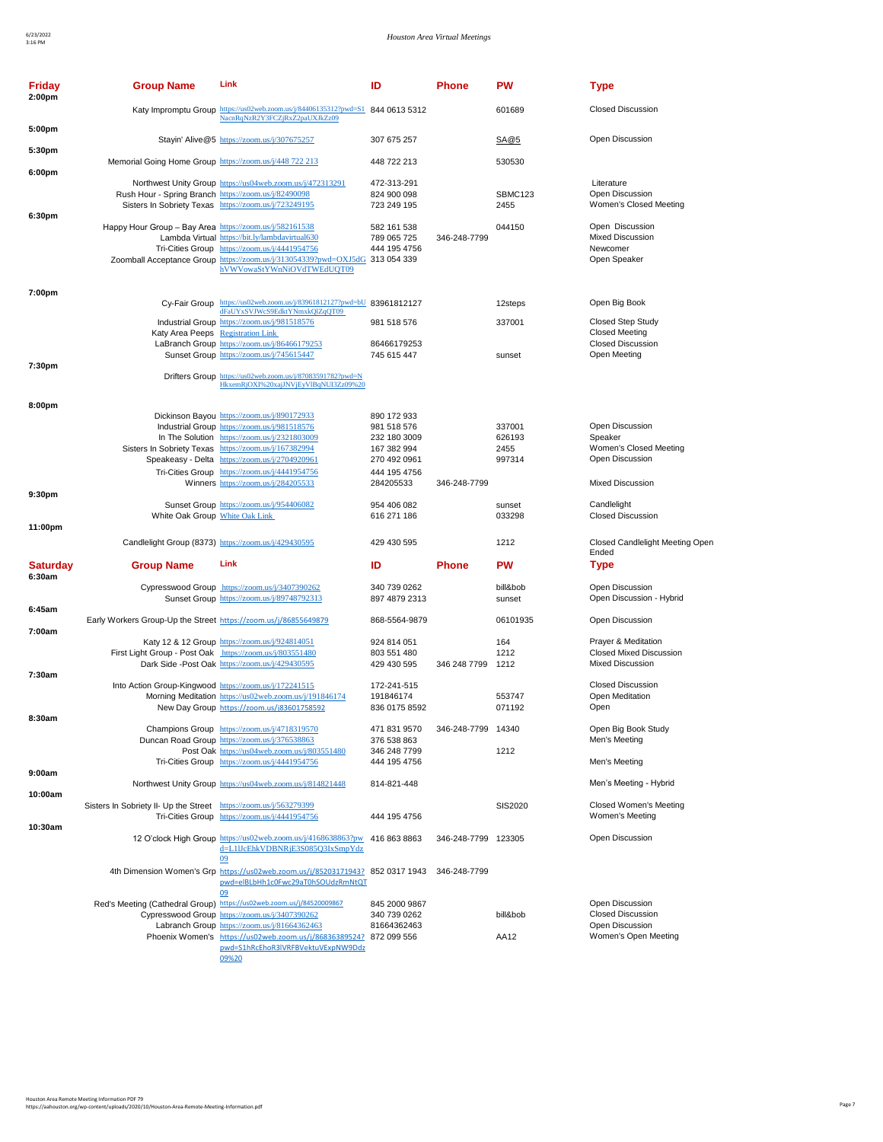| Friday<br>2:00pm          | <b>Group Name</b>                                                 | Link                                                                                                                                                                                                                                                                                                    | ID                                                                                        | <b>Phone</b>        | <b>PW</b>                          | <b>Type</b>                                                                      |
|---------------------------|-------------------------------------------------------------------|---------------------------------------------------------------------------------------------------------------------------------------------------------------------------------------------------------------------------------------------------------------------------------------------------------|-------------------------------------------------------------------------------------------|---------------------|------------------------------------|----------------------------------------------------------------------------------|
|                           |                                                                   | Katy Impromptu Group https://us02web.zoom.us/j/84406135312?pwd=S1 844 0613 5312<br>NacnRqNzR2Y3FCZjRxZ2paUXJkZz09                                                                                                                                                                                       |                                                                                           |                     | 601689                             | <b>Closed Discussion</b>                                                         |
| 5:00pm                    |                                                                   | Stayin' Alive@5 https://zoom.us/j/307675257                                                                                                                                                                                                                                                             | 307 675 257                                                                               |                     | SA@5                               | Open Discussion                                                                  |
| 5:30pm                    | Memorial Going Home Group https://zoom.us/j/448 722 213           |                                                                                                                                                                                                                                                                                                         | 448 722 213                                                                               |                     | 530530                             |                                                                                  |
| 6:00pm                    | Rush Hour - Spring Branch https://zoom.us/j/82490098              | Northwest Unity Group https://us04web.zoom.us/j/472313291<br>Sisters In Sobriety Texas https://zoom.us/j/723249195                                                                                                                                                                                      | 472-313-291<br>824 900 098<br>723 249 195                                                 |                     | SBMC123<br>2455                    | Literature<br>Open Discussion<br>Women's Closed Meeting                          |
| 6:30pm                    | Happy Hour Group - Bay Area https://zoom.us/j/582161538           | Lambda Virtual https://bit.ly/lambdavirtual630<br>Tri-Cities Group https://zoom.us/j/4441954756<br>Zoomball Acceptance Group https://zoom.us/j/313054339?pwd=OXJ5dG 313 054 339                                                                                                                         | 582 161 538<br>789 065 725<br>444 195 4756                                                | 346-248-7799        | 044150                             | Open Discussion<br><b>Mixed Discussion</b><br>Newcomer<br>Open Speaker           |
|                           |                                                                   | hVWVowaStYWnNiOVdTWEdUQT09                                                                                                                                                                                                                                                                              |                                                                                           |                     |                                    |                                                                                  |
| 7:00pm                    |                                                                   | Cy-Fair Group https://us02web.zoom.us/j/83961812127?pwd=bU 83961812127                                                                                                                                                                                                                                  |                                                                                           |                     | 12steps                            | Open Big Book                                                                    |
|                           | Katy Area Peeps Registration Link                                 | dFaUYxSVJWcS9EdktYNmxkQlZqQT09<br>Industrial Group https://zoom.us/j/981518576                                                                                                                                                                                                                          | 981 518 576                                                                               |                     | 337001                             | <b>Closed Step Study</b><br><b>Closed Meeting</b>                                |
|                           |                                                                   | LaBranch Group https://zoom.us/j/86466179253<br>Sunset Group https://zoom.us/j/745615447                                                                                                                                                                                                                | 86466179253<br>745 615 447                                                                |                     | sunset                             | <b>Closed Discussion</b><br>Open Meeting                                         |
| 7:30pm                    |                                                                   | Drifters Group https://us02web.zoom.us/j/87083591782?pwd=N<br>HkxemRjOXI%20xajJNVjEyVlBqNUI3Zz09%20                                                                                                                                                                                                     |                                                                                           |                     |                                    |                                                                                  |
| 8:00pm                    |                                                                   | Dickinson Bayou https://zoom.us/j/890172933<br>Industrial Group https://zoom.us/j/981518576<br>In The Solution https://zoom.us/j/2321803009<br>Sisters In Sobriety Texas https://zoom.us/j/167382994<br>Speakeasy - Delta https://zoom.us/j/2704920961<br>Tri-Cities Group https://zoom.us/j/4441954756 | 890 172 933<br>981 518 576<br>232 180 3009<br>167 382 994<br>270 492 0961<br>444 195 4756 |                     | 337001<br>626193<br>2455<br>997314 | Open Discussion<br>Speaker<br>Women's Closed Meeting<br>Open Discussion          |
| 9:30pm                    |                                                                   | Winners https://zoom.us/j/284205533                                                                                                                                                                                                                                                                     | 284205533                                                                                 | 346-248-7799        |                                    | <b>Mixed Discussion</b>                                                          |
|                           | White Oak Group White Oak Link                                    | Sunset Group https://zoom.us/j/954406082                                                                                                                                                                                                                                                                | 954 406 082<br>616 271 186                                                                |                     | sunset<br>033298                   | Candlelight<br><b>Closed Discussion</b>                                          |
| 11:00pm                   |                                                                   | Candlelight Group (8373) https://zoom.us/j/429430595                                                                                                                                                                                                                                                    | 429 430 595                                                                               |                     | 1212                               | <b>Closed Candlelight Meeting Open</b><br>Ended                                  |
| <b>Saturday</b><br>6:30am | <b>Group Name</b>                                                 | Link                                                                                                                                                                                                                                                                                                    | ID                                                                                        | <b>Phone</b>        | <b>PW</b>                          | Type                                                                             |
|                           |                                                                   | Cypresswood Group https://zoom.us/j/3407390262<br>Sunset Group https://zoom.us/j/89748792313                                                                                                                                                                                                            | 340 739 0262<br>897 4879 2313                                                             |                     | bill&bob<br>sunset                 | Open Discussion<br>Open Discussion - Hybrid                                      |
| 6:45am<br>7:00am          | Early Workers Group-Up the Street https://zoom.us/j/86855649879   |                                                                                                                                                                                                                                                                                                         | 868-5564-9879                                                                             |                     | 06101935                           | Open Discussion                                                                  |
|                           | First Light Group - Post Oak https://zoom.us/j/803551480          | Katy 12 & 12 Group https://zoom.us/j/924814051<br>Dark Side -Post Oak https://zoom.us/j/429430595                                                                                                                                                                                                       | 924 814 051<br>803 551 480<br>429 430 595                                                 | 346 248 7799        | 164<br>1212<br>1212                | Prayer & Meditation<br><b>Closed Mixed Discussion</b><br><b>Mixed Discussion</b> |
| 7:30am                    | Into Action Group-Kingwood https://zoom.us/j/172241515            | Morning Meditation https://us02web.zoom.us/j/191846174<br>New Day Group https://zoom.us/j83601758592                                                                                                                                                                                                    | 172-241-515<br>191846174<br>836 0175 8592                                                 |                     | 553747<br>071192                   | <b>Closed Discussion</b><br>Open Meditation<br>Open                              |
| 8:30am                    |                                                                   | Champions Group https://zoom.us/j/4718319570<br>Duncan Road Group https://zoom.us/j/376538863<br>Post Oak https://us04web.zoom.us/j/803551480                                                                                                                                                           | 471 831 9570<br>376 538 863<br>346 248 7799                                               | 346-248-7799 14340  | 1212                               | Open Big Book Study<br>Men's Meeting                                             |
| 9:00am                    |                                                                   | Tri-Cities Group https://zoom.us/j/4441954756                                                                                                                                                                                                                                                           | 444 195 4756                                                                              |                     |                                    | Men's Meeting                                                                    |
| 10:00am                   |                                                                   | Northwest Unity Group https://us04web.zoom.us/j/814821448                                                                                                                                                                                                                                               | 814-821-448                                                                               |                     |                                    | Men's Meeting - Hybrid                                                           |
|                           | Sisters In Sobriety II- Up the Street https://zoom.us/j/563279399 | Tri-Cities Group https://zoom.us/j/4441954756                                                                                                                                                                                                                                                           | 444 195 4756                                                                              |                     | SIS2020                            | Closed Women's Meeting<br>Women's Meeting                                        |
| 10:30am                   |                                                                   | 12 O'clock High Group https://us02web.zoom.us/j/4168638863?pw<br>d=L1IJcEhkVDBNRjE3S085Q3IxSmpYdz<br>09                                                                                                                                                                                                 | 416 863 8863                                                                              | 346-248-7799 123305 |                                    | Open Discussion                                                                  |
|                           |                                                                   | 4th Dimension Women's Grp https://us02web.zoom.us/j/85203171943? 852 0317 1943<br>pwd=elBLbHh1c0Fwc29aT0hSOUdzRmNtQT<br>09                                                                                                                                                                              |                                                                                           | 346-248-7799        |                                    |                                                                                  |
|                           |                                                                   | Red's Meeting (Cathedral Group) https://us02web.zoom.us/j/84520009867                                                                                                                                                                                                                                   | 845 2000 9867                                                                             |                     |                                    | Open Discussion                                                                  |
|                           |                                                                   | Cypresswood Group https://zoom.us/j/3407390262<br>Labranch Group https://zoom.us/j/81664362463                                                                                                                                                                                                          | 340 739 0262<br>81664362463                                                               |                     | bill&bob                           | <b>Closed Discussion</b><br>Open Discussion                                      |
|                           |                                                                   | Phoenix Women's https://us02web.zoom.us/j/86836389524?<br>pwd=S1hRcEhoR3lVRFBVektuVExpNW9Ddz<br>09%20                                                                                                                                                                                                   | 872 099 556                                                                               |                     | AA12                               | Women's Open Meeting                                                             |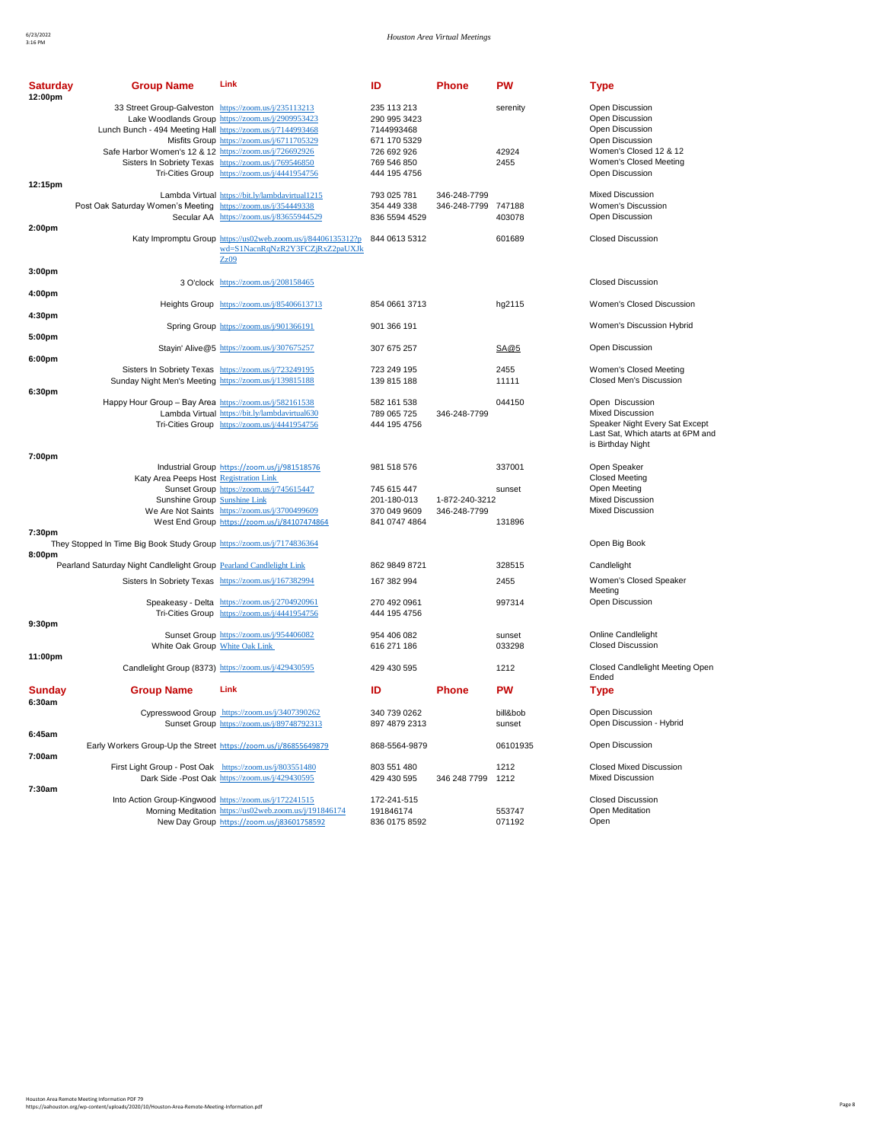| <b>Saturday</b><br>12:00pm | <b>Group Name</b>                                                                                                    | Link                                                                                                    | ID                                                        | <b>Phone</b>                   | <b>PW</b>          | <b>Type</b>                                                                              |
|----------------------------|----------------------------------------------------------------------------------------------------------------------|---------------------------------------------------------------------------------------------------------|-----------------------------------------------------------|--------------------------------|--------------------|------------------------------------------------------------------------------------------|
|                            | 33 Street Group-Galveston https://zoom.us/j/235113213<br>Lunch Bunch - 494 Meeting Hall https://zoom.us/j/7144993468 | Lake Woodlands Group https://zoom.us/j/2909953423<br>Misfits Group https://zoom.us/j/6711705329         | 235 113 213<br>290 995 3423<br>7144993468<br>671 170 5329 |                                | serenity           | Open Discussion<br>Open Discussion<br>Open Discussion<br>Open Discussion                 |
|                            | Safe Harbor Women's 12 & 12 https://zoom.us/j/726692926                                                              | Sisters In Sobriety Texas https://zoom.us/j/769546850<br>Tri-Cities Group https://zoom.us/j/4441954756  | 726 692 926<br>769 546 850<br>444 195 4756                |                                | 42924<br>2455      | Women's Closed 12 & 12<br>Women's Closed Meeting<br>Open Discussion                      |
| 12:15pm                    |                                                                                                                      | Lambda Virtual https://bit.ly/lambdavirtual1215                                                         | 793 025 781                                               | 346-248-7799                   |                    | <b>Mixed Discussion</b>                                                                  |
|                            | Post Oak Saturday Women's Meeting https://zoom.us/j/354449338                                                        | Secular AA https://zoom.us/j/83655944529                                                                | 354 449 338<br>836 5594 4529                              | 346-248-7799 747188            | 403078             | Women's Discussion<br>Open Discussion                                                    |
| 2:00 <sub>pm</sub>         |                                                                                                                      | Katy Impromptu Group https://us02web.zoom.us/j/84406135312?p<br>wd=S1NacnRqNzR2Y3FCZjRxZ2paUXJk<br>Zz09 | 844 0613 5312                                             |                                | 601689             | <b>Closed Discussion</b>                                                                 |
| 3:00 <sub>pm</sub>         |                                                                                                                      |                                                                                                         |                                                           |                                |                    |                                                                                          |
|                            |                                                                                                                      | 3 O'clock https://zoom.us/j/208158465                                                                   |                                                           |                                |                    | <b>Closed Discussion</b>                                                                 |
| 4:00pm<br>4:30pm           |                                                                                                                      | Heights Group https://zoom.us/j/85406613713                                                             | 854 0661 3713                                             |                                | hg2115             | Women's Closed Discussion                                                                |
|                            |                                                                                                                      | Spring Group https://zoom.us/j/901366191                                                                | 901 366 191                                               |                                |                    | Women's Discussion Hybrid                                                                |
| 5:00pm<br>6:00pm           |                                                                                                                      | Stayin' Alive@5 https://zoom.us/j/307675257                                                             | 307 675 257                                               |                                | SA@5               | Open Discussion                                                                          |
|                            | Sunday Night Men's Meeting https://zoom.us/j/139815188                                                               | Sisters In Sobriety Texas https://zoom.us/j/723249195                                                   | 723 249 195<br>139 815 188                                |                                | 2455<br>11111      | Women's Closed Meeting<br>Closed Men's Discussion                                        |
| 6:30pm                     | Happy Hour Group - Bay Area https://zoom.us/j/582161538                                                              |                                                                                                         | 582 161 538                                               |                                | 044150             | Open Discussion                                                                          |
|                            |                                                                                                                      | Lambda Virtual https://bit.ly/lambdavirtual630                                                          | 789 065 725                                               | 346-248-7799                   |                    | <b>Mixed Discussion</b>                                                                  |
|                            |                                                                                                                      | Tri-Cities Group https://zoom.us/j/4441954756                                                           | 444 195 4756                                              |                                |                    | Speaker Night Every Sat Except<br>Last Sat, Which atarts at 6PM and<br>is Birthday Night |
| 7:00pm                     | Katy Area Peeps Host Registration Link                                                                               | Industrial Group https://zoom.us/j/981518576                                                            | 981 518 576                                               |                                | 337001             | Open Speaker<br><b>Closed Meeting</b>                                                    |
|                            | Sunshine Group Sunshine Link                                                                                         | Sunset Group https://zoom.us/j/745615447<br>We Are Not Saints https://zoom.us/j/3700499609              | 745 615 447<br>201-180-013<br>370 049 9609                | 1-872-240-3212<br>346-248-7799 | sunset             | Open Meeting<br><b>Mixed Discussion</b><br><b>Mixed Discussion</b>                       |
|                            |                                                                                                                      | West End Group https://zoom.us/j/84107474864                                                            | 841 0747 4864                                             |                                | 131896             |                                                                                          |
| 7:30pm                     | They Stopped In Time Big Book Study Group https://zoom.us/j/7174836364                                               |                                                                                                         |                                                           |                                |                    | Open Big Book                                                                            |
| 8:00pm                     |                                                                                                                      |                                                                                                         |                                                           |                                |                    |                                                                                          |
|                            | Pearland Saturday Night Candlelight Group Pearland Candlelight Link                                                  |                                                                                                         | 862 9849 8721                                             |                                | 328515             | Candlelight                                                                              |
|                            |                                                                                                                      | Sisters In Sobriety Texas https://zoom.us/j/167382994                                                   | 167 382 994                                               |                                | 2455               | Women's Closed Speaker<br>Meeting                                                        |
|                            |                                                                                                                      | Speakeasy - Delta https://zoom.us/j/2704920961<br>Tri-Cities Group https://zoom.us/j/4441954756         | 270 492 0961<br>444 195 4756                              |                                | 997314             | Open Discussion                                                                          |
| 9:30pm                     |                                                                                                                      | Sunset Group https://zoom.us/j/954406082                                                                | 954 406 082                                               |                                | sunset             | <b>Online Candlelight</b>                                                                |
|                            | White Oak Group White Oak Link                                                                                       |                                                                                                         | 616 271 186                                               |                                | 033298             | <b>Closed Discussion</b>                                                                 |
| 11:00pm                    |                                                                                                                      | Candlelight Group (8373) https://zoom.us/j/429430595                                                    | 429 430 595                                               |                                | 1212               | Closed Candlelight Meeting Open<br>Ended                                                 |
| <b>Sunday</b><br>6:30am    | <b>Group Name</b>                                                                                                    | Link                                                                                                    | ID                                                        | <b>Phone</b>                   | <b>PW</b>          | <b>Type</b>                                                                              |
| 6:45am                     |                                                                                                                      | Cypresswood Group https://zoom.us/j/3407390262<br>Sunset Group https://zoom.us/j/89748792313            | 340 739 0262<br>897 4879 2313                             |                                | bill&bob<br>sunset | <b>Open Discussion</b><br>Open Discussion - Hybrid                                       |
|                            | Early Workers Group-Up the Street https://zoom.us/j/86855649879                                                      |                                                                                                         | 868-5564-9879                                             |                                | 06101935           | Open Discussion                                                                          |
| 7:00am                     | First Light Group - Post Oak https://zoom.us/j/803551480                                                             | Dark Side -Post Oak https://zoom.us/j/429430595                                                         | 803 551 480<br>429 430 595                                | 346 248 7799                   | 1212<br>1212       | <b>Closed Mixed Discussion</b><br><b>Mixed Discussion</b>                                |
| 7:30am                     |                                                                                                                      |                                                                                                         |                                                           |                                |                    |                                                                                          |
|                            | Into Action Group-Kingwood https://zoom.us/j/172241515                                                               | Morning Meditation https://us02web.zoom.us/j/191846174<br>New Day Group https://zoom.us/j83601758592    | 172-241-515<br>191846174<br>836 0175 8592                 |                                | 553747<br>071192   | <b>Closed Discussion</b><br>Open Meditation<br>Open                                      |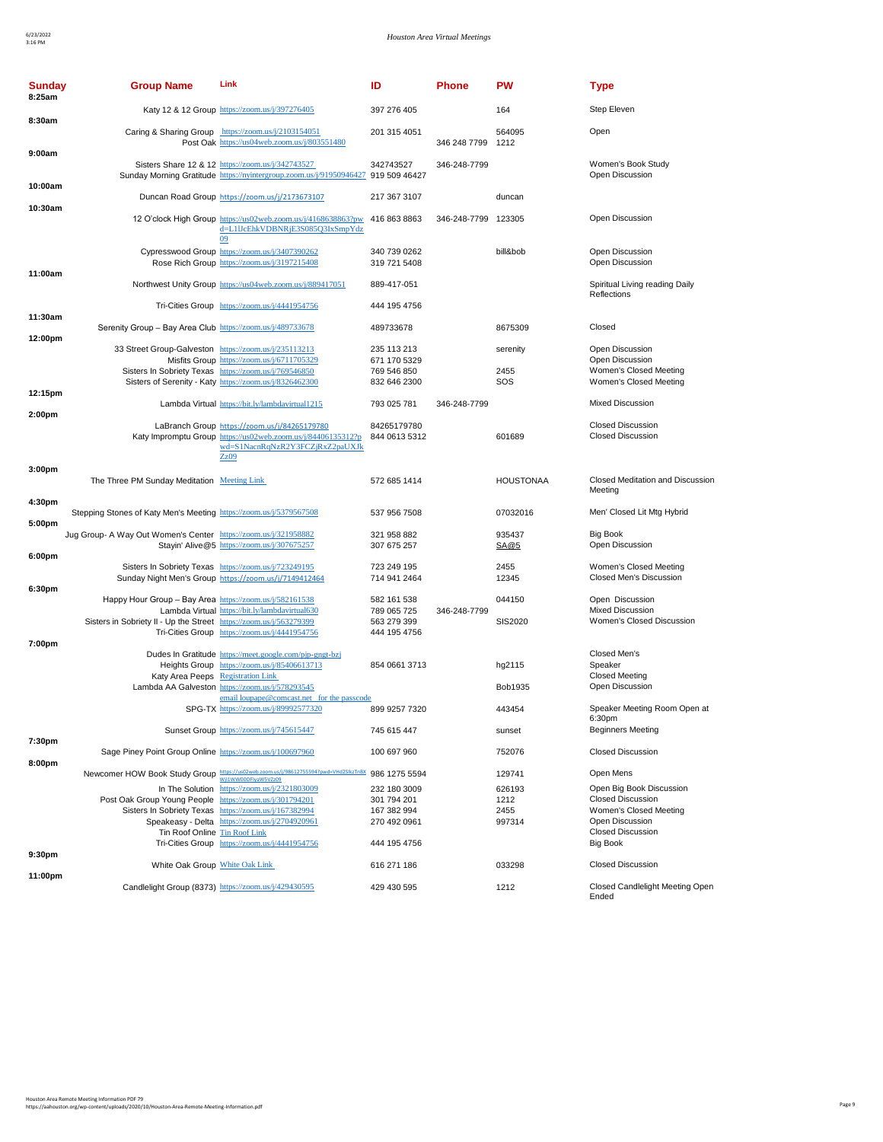| <b>Sunday</b><br>8:25am | <b>Group Name</b>                                                  | Link                                                                                                                                                                   | ID                           | <b>Phone</b> | <b>PW</b>        | <b>Type</b>                                       |
|-------------------------|--------------------------------------------------------------------|------------------------------------------------------------------------------------------------------------------------------------------------------------------------|------------------------------|--------------|------------------|---------------------------------------------------|
| 8:30am                  |                                                                    | Katy 12 & 12 Group https://zoom.us/j/397276405                                                                                                                         | 397 276 405                  |              | 164              | Step Eleven                                       |
|                         |                                                                    | Caring & Sharing Group https://zoom.us/j/2103154051<br>Post Oak https://us04web.zoom.us/j/803551480                                                                    | 201 315 4051                 | 346 248 7799 | 564095<br>1212   | Open                                              |
| 9:00am                  |                                                                    | Sisters Share 12 & 12 https://zoom.us/j/342743527<br>Sunday Morning Gratitude https://nyintergroup.zoom.us/j/91950946427 919 509 46427                                 | 342743527                    | 346-248-7799 |                  | Women's Book Study<br>Open Discussion             |
| 10:00am                 |                                                                    | Duncan Road Group https://zoom.us/j/2173673107                                                                                                                         | 217 367 3107                 |              | duncan           |                                                   |
| 10:30am                 |                                                                    | 12 O'clock High Group https://us02web.zoom.us/j/4168638863?pw                                                                                                          | 416 863 8863                 | 346-248-7799 | 123305           | Open Discussion                                   |
|                         |                                                                    | d=L1IJcEhkVDBNRjE3S085Q3IxSmpYdz<br>09                                                                                                                                 |                              |              |                  |                                                   |
| 11:00am                 |                                                                    | Cypresswood Group https://zoom.us/j/3407390262<br>Rose Rich Group https://zoom.us/j/3197215408                                                                         | 340 739 0262<br>319 721 5408 |              | bill&bob         | Open Discussion<br>Open Discussion                |
|                         |                                                                    | Northwest Unity Group https://us04web.zoom.us/j/889417051                                                                                                              | 889-417-051                  |              |                  | Spiritual Living reading Daily<br>Reflections     |
| 11:30am                 |                                                                    | Tri-Cities Group https://zoom.us/j/4441954756                                                                                                                          | 444 195 4756                 |              |                  |                                                   |
|                         | Serenity Group - Bay Area Club https://zoom.us/j/489733678         |                                                                                                                                                                        | 489733678                    |              | 8675309          | Closed                                            |
| 12:00pm                 | 33 Street Group-Galveston https://zoom.us/j/235113213              |                                                                                                                                                                        | 235 113 213                  |              | serenity         | Open Discussion                                   |
|                         |                                                                    | Misfits Group https://zoom.us/j/6711705329<br>Sisters In Sobriety Texas https://zoom.us/j/769546850                                                                    | 671 170 5329<br>769 546 850  |              | 2455             | Open Discussion<br>Women's Closed Meeting         |
|                         |                                                                    | Sisters of Serenity - Katy https://zoom.us/j/8326462300                                                                                                                | 832 646 2300                 |              | SOS              | Women's Closed Meeting                            |
| 12:15pm                 |                                                                    | Lambda Virtual https://bit.ly/lambdavirtual1215                                                                                                                        | 793 025 781                  | 346-248-7799 |                  | Mixed Discussion                                  |
| 2:00pm                  |                                                                    | LaBranch Group https://zoom.us/j/84265179780                                                                                                                           | 84265179780                  |              |                  | <b>Closed Discussion</b>                          |
|                         |                                                                    | Katy Impromptu Group https://us02web.zoom.us/j/84406135312?p<br>wd=S1NacnRqNzR2Y3FCZjRxZ2paUXJk<br>Zz09                                                                | 844 0613 5312                |              | 601689           | <b>Closed Discussion</b>                          |
| 3:00 <sub>pm</sub>      |                                                                    |                                                                                                                                                                        |                              |              |                  |                                                   |
|                         | The Three PM Sunday Meditation Meeting Link                        |                                                                                                                                                                        | 572 685 1414                 |              | <b>HOUSTONAA</b> | Closed Meditation and Discussion<br>Meeting       |
| 4:30pm<br>5:00pm        | Stepping Stones of Katy Men's Meeting https://zoom.us/j/5379567508 |                                                                                                                                                                        | 537 956 7508                 |              | 07032016         | Men' Closed Lit Mtg Hybrid                        |
|                         | Jug Group- A Way Out Women's Center https://zoom.us/j/321958882    | Stayin' Alive@5 https://zoom.us/j/307675257                                                                                                                            | 321 958 882<br>307 675 257   |              | 935437<br>SA@5   | <b>Big Book</b><br>Open Discussion                |
| 6:00pm                  |                                                                    | Sisters In Sobriety Texas https://zoom.us/j/723249195<br>Sunday Night Men's Group https://zoom.us/j/7149412464                                                         | 723 249 195<br>714 941 2464  |              | 2455<br>12345    | Women's Closed Meeting<br>Closed Men's Discussion |
| 6:30pm                  | Happy Hour Group - Bay Area https://zoom.us/j/582161538            |                                                                                                                                                                        | 582 161 538                  |              | 044150           | Open Discussion                                   |
|                         |                                                                    | Lambda Virtual https://bit.ly/lambdavirtual630                                                                                                                         | 789 065 725                  | 346-248-7799 |                  | <b>Mixed Discussion</b>                           |
|                         | Sisters in Sobriety II - Up the Street https://zoom.us/j/563279399 | Tri-Cities Group https://zoom.us/j/4441954756                                                                                                                          | 563 279 399<br>444 195 4756  |              | SIS2020          | Women's Closed Discussion                         |
| 7:00pm                  |                                                                    |                                                                                                                                                                        |                              |              |                  |                                                   |
|                         |                                                                    | Dudes In Gratitude https://meet.google.com/pjp-gngt-bzj<br>Heights Group https://zoom.us/j/85406613713                                                                 | 854 0661 3713                |              | hg2115           | Closed Men's<br>Speaker                           |
|                         | Katy Area Peeps Registration Link                                  |                                                                                                                                                                        |                              |              |                  | <b>Closed Meeting</b>                             |
|                         |                                                                    | Lambda AA Galveston https://zoom.us/j/578293545                                                                                                                        |                              |              | Bob1935          | Open Discussion                                   |
|                         |                                                                    | email loupape@comcast.net for the passcode<br>SPG-TX https://zoom.us/j/89992577320                                                                                     | 899 9257 7320                |              | 443454           | Speaker Meeting Room Open at                      |
| 7:30pm                  |                                                                    | Sunset Group https://zoom.us/j/745615447                                                                                                                               | 745 615 447                  |              | sunset           | 6:30pm<br><b>Beginners Meeting</b>                |
| 8:00pm                  | Sage Piney Point Group Online https://zoom.us/j/100697960          |                                                                                                                                                                        | 100 697 960                  |              | 752076           | <b>Closed Discussion</b>                          |
|                         |                                                                    | $\textbf{Newcorner} \textbf{HOW Book Study Group} \textcolor{red}{\frac{https://ws2.weak.z.com.ws/f/986127555947 \text{pwd-wHd2SlkzTnBX}}{\text{Wil1WW000F/gW5VZ09}}}$ | 986 1275 5594                |              | 129741           | Open Mens                                         |
|                         |                                                                    | In The Solution https://zoom.us/j/2321803009                                                                                                                           | 232 180 3009                 |              | 626193           | Open Big Book Discussion                          |
|                         | Post Oak Group Young People https://zoom.us/j/301794201            |                                                                                                                                                                        | 301 794 201                  |              | 1212             | <b>Closed Discussion</b>                          |
|                         |                                                                    | Sisters In Sobriety Texas https://zoom.us/j/167382994<br>Speakeasy - Delta https://zoom.us/j/2704920961                                                                | 167 382 994<br>270 492 0961  |              | 2455<br>997314   | Women's Closed Meeting<br>Open Discussion         |
|                         | Tin Roof Online Tin Roof Link                                      |                                                                                                                                                                        |                              |              |                  | <b>Closed Discussion</b>                          |
| 9:30pm                  |                                                                    | Tri-Cities Group https://zoom.us/j/4441954756                                                                                                                          | 444 195 4756                 |              |                  | <b>Big Book</b>                                   |
|                         | White Oak Group White Oak Link                                     |                                                                                                                                                                        | 616 271 186                  |              | 033298           | <b>Closed Discussion</b>                          |
| 11:00pm                 |                                                                    | Candlelight Group (8373) https://zoom.us/j/429430595                                                                                                                   | 429 430 595                  |              | 1212             | Closed Candlelight Meeting Open<br>Ended          |